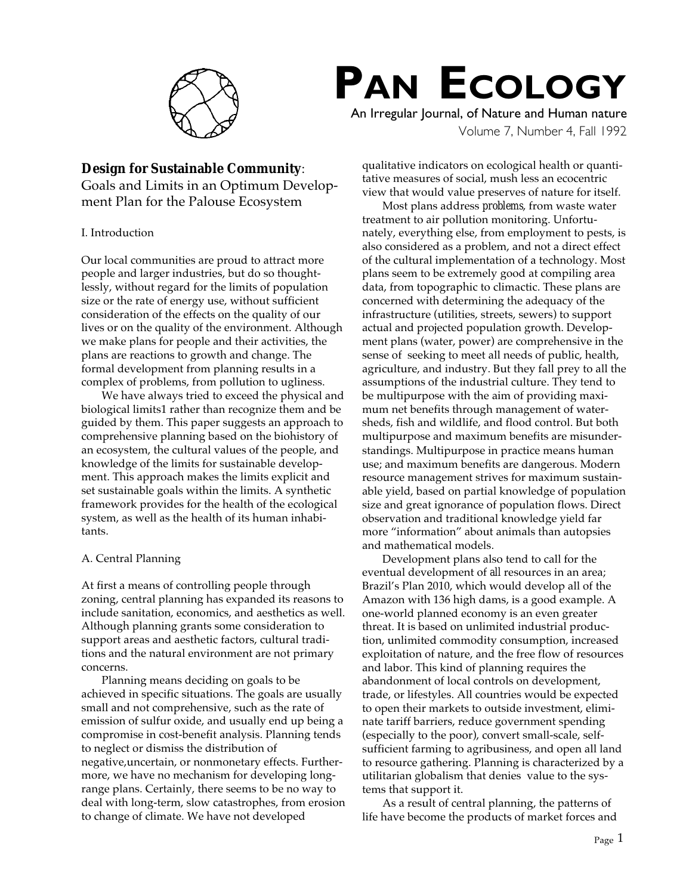

# **PAN ECOLOGY**

An Irregular Journal, of Nature and Human nature Volume 7, Number 4, Fall 1992

# **Design for Sustainable Community**:

Goals and Limits in an Optimum Development Plan for the Palouse Ecosystem

## I. Introduction

Our local communities are proud to attract more people and larger industries, but do so thoughtlessly, without regard for the limits of population size or the rate of energy use, without sufficient consideration of the effects on the quality of our lives or on the quality of the environment. Although we make plans for people and their activities, the plans are reactions to growth and change. The formal development from planning results in a complex of problems, from pollution to ugliness.

We have always tried to exceed the physical and biological limits1 rather than recognize them and be guided by them. This paper suggests an approach to comprehensive planning based on the biohistory of an ecosystem, the cultural values of the people, and knowledge of the limits for sustainable development. This approach makes the limits explicit and set sustainable goals within the limits. A synthetic framework provides for the health of the ecological system, as well as the health of its human inhabitants.

# A. Central Planning

At first a means of controlling people through zoning, central planning has expanded its reasons to include sanitation, economics, and aesthetics as well. Although planning grants some consideration to support areas and aesthetic factors, cultural traditions and the natural environment are not primary concerns.

Planning means deciding on goals to be achieved in specific situations. The goals are usually small and not comprehensive, such as the rate of emission of sulfur oxide, and usually end up being a compromise in cost-benefit analysis. Planning tends to neglect or dismiss the distribution of negative,uncertain, or nonmonetary effects. Furthermore, we have no mechanism for developing longrange plans. Certainly, there seems to be no way to deal with long-term, slow catastrophes, from erosion to change of climate. We have not developed

qualitative indicators on ecological health or quantitative measures of social, mush less an ecocentric view that would value preserves of nature for itself.

Most plans address *problems*, from waste water treatment to air pollution monitoring. Unfortunately, everything else, from employment to pests, is also considered as a problem, and not a direct effect of the cultural implementation of a technology. Most plans seem to be extremely good at compiling area data, from topographic to climactic. These plans are concerned with determining the adequacy of the infrastructure (utilities, streets, sewers) to support actual and projected population growth. Development plans (water, power) are comprehensive in the sense of seeking to meet all needs of public, health, agriculture, and industry. But they fall prey to all the assumptions of the industrial culture. They tend to be multipurpose with the aim of providing maximum net benefits through management of watersheds, fish and wildlife, and flood control. But both multipurpose and maximum benefits are misunderstandings. Multipurpose in practice means human use; and maximum benefits are dangerous. Modern resource management strives for maximum sustainable yield, based on partial knowledge of population size and great ignorance of population flows. Direct observation and traditional knowledge yield far more "information" about animals than autopsies and mathematical models.

Development plans also tend to call for the eventual development of *all* resources in an area; Brazil's Plan 2010, which would develop all of the Amazon with 136 high dams, is a good example. A one-world planned economy is an even greater threat. It is based on unlimited industrial production, unlimited commodity consumption, increased exploitation of nature, and the free flow of resources and labor. This kind of planning requires the abandonment of local controls on development, trade, or lifestyles. All countries would be expected to open their markets to outside investment, eliminate tariff barriers, reduce government spending (especially to the poor), convert small-scale, selfsufficient farming to agribusiness, and open all land to resource gathering. Planning is characterized by a utilitarian globalism that denies value to the systems that support it.

As a result of central planning, the patterns of life have become the products of market forces and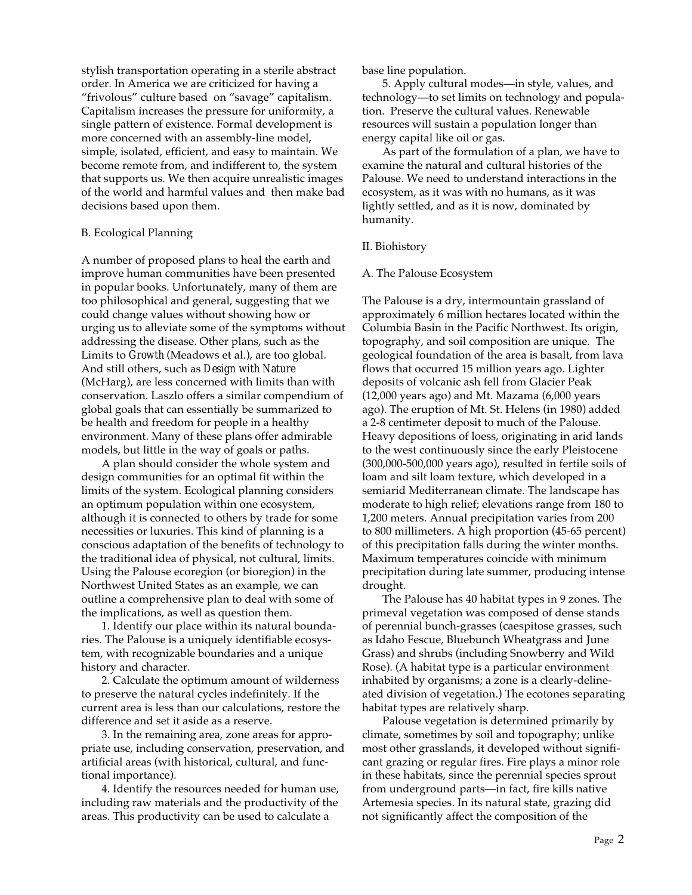stylish transportation operating in a sterile abstract order. In America we are criticized for having a "frivolous" culture based on "savage" capitalism. Capitalism increases the pressure for uniformity, a single pattern of existence. Formal development is more concerned with an assembly-line model, simple, isolated, efficient, and easy to maintain. We become remote from, and indifferent to, the system that supports us. We then acquire unrealistic images of the world and harmful values and then make bad decisions based upon them.

#### B. Ecological Planning

A number of proposed plans to heal the earth and improve human communities have been presented in popular books. Unfortunately, many of them are too philosophical and general, suggesting that we could change values without showing how or urging us to alleviate some of the symptoms without addressing the disease. Other plans, such as the Limits to *Growth* (Meadows et al.), are too global. And still others, such as *Design with Nature* (McHarg), are less concerned with limits than with conservation. Laszlo offers a similar compendium of global goals that can essentially be summarized to be health and freedom for people in a healthy environment. Many of these plans offer admirable models, but little in the way of goals or paths.

A plan should consider the whole system and design communities for an optimal fit within the limits of the system. Ecological planning considers an optimum population within one ecosystem, although it is connected to others by trade for some necessities or luxuries. This kind of planning is a conscious adaptation of the benefits of technology to the traditional idea of physical, not cultural, limits. Using the Palouse ecoregion (or bioregion) in the Northwest United States as an example, we can outline a comprehensive plan to deal with some of the implications, as well as question them.

1. Identify our place within its natural boundaries. The Palouse is a uniquely identifiable ecosystem, with recognizable boundaries and a unique history and character.

2. Calculate the optimum amount of wilderness to preserve the natural cycles indefinitely. If the current area is less than our calculations, restore the difference and set it aside as a reserve.

3. In the remaining area, zone areas for appropriate use, including conservation, preservation, and artificial areas (with historical, cultural, and functional importance).

4. Identify the resources needed for human use, including raw materials and the productivity of the areas. This productivity can be used to calculate a

base line population.

5. Apply cultural modes—in style, values, and technology—to set limits on technology and population. Preserve the cultural values. Renewable resources will sustain a population longer than energy capital like oil or gas.

As part of the formulation of a plan, we have to examine the natural and cultural histories of the Palouse. We need to understand interactions in the ecosystem, as it was with no humans, as it was lightly settled, and as it is now, dominated by humanity.

#### II. Biohistory

#### A. The Palouse Ecosystem

The Palouse is a dry, intermountain grassland of approximately 6 million hectares located within the Columbia Basin in the Pacific Northwest. Its origin, topography, and soil composition are unique. The geological foundation of the area is basalt, from lava flows that occurred 15 million years ago. Lighter deposits of volcanic ash fell from Glacier Peak (12,000 years ago) and Mt. Mazama (6,000 years ago). The eruption of Mt. St. Helens (in 1980) added a 2-8 centimeter deposit to much of the Palouse. Heavy depositions of loess, originating in arid lands to the west continuously since the early Pleistocene (300,000-500,000 years ago), resulted in fertile soils of loam and silt loam texture, which developed in a semiarid Mediterranean climate. The landscape has moderate to high relief; elevations range from 180 to 1,200 meters. Annual precipitation varies from 200 to 800 millimeters. A high proportion (45-65 percent) of this precipitation falls during the winter months. Maximum temperatures coincide with minimum precipitation during late summer, producing intense drought.

The Palouse has 40 habitat types in 9 zones. The primeval vegetation was composed of dense stands of perennial bunch-grasses (caespitose grasses, such as Idaho Fescue, Bluebunch Wheatgrass and June Grass) and shrubs (including Snowberry and Wild Rose). (A habitat type is a particular environment inhabited by organisms; a zone is a clearly-delineated division of vegetation.) The ecotones separating habitat types are relatively sharp.

Palouse vegetation is determined primarily by climate, sometimes by soil and topography; unlike most other grasslands, it developed without significant grazing or regular fires. Fire plays a minor role in these habitats, since the perennial species sprout from underground parts—in fact, fire kills native Artemesia species. In its natural state, grazing did not significantly affect the composition of the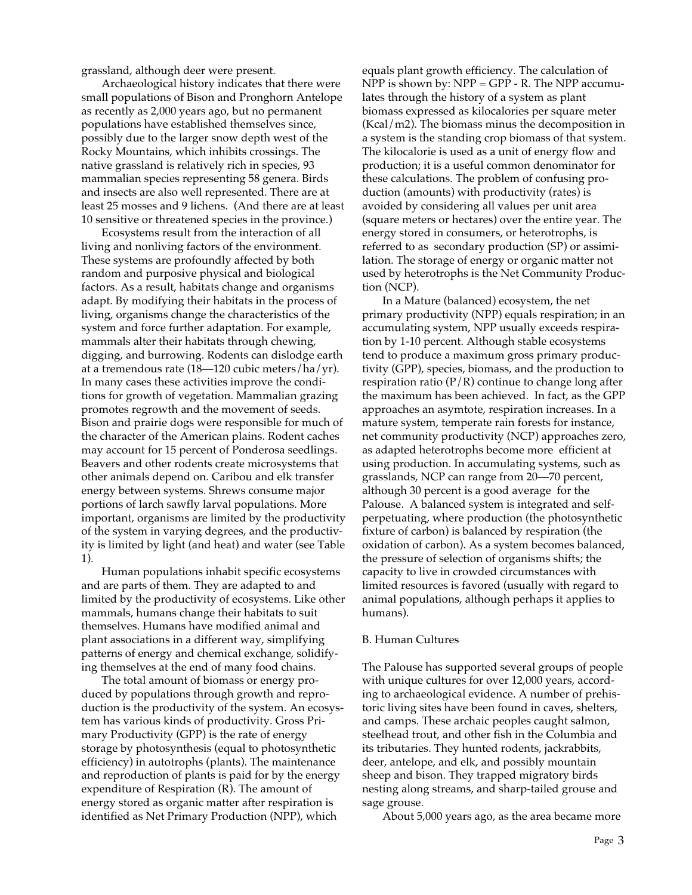grassland, although deer were present.

Archaeological history indicates that there were small populations of Bison and Pronghorn Antelope as recently as 2,000 years ago, but no permanent populations have established themselves since, possibly due to the larger snow depth west of the Rocky Mountains, which inhibits crossings. The native grassland is relatively rich in species, 93 mammalian species representing 58 genera. Birds and insects are also well represented. There are at least 25 mosses and 9 lichens. (And there are at least 10 sensitive or threatened species in the province.)

Ecosystems result from the interaction of all living and nonliving factors of the environment. These systems are profoundly affected by both random and purposive physical and biological factors. As a result, habitats change and organisms adapt. By modifying their habitats in the process of living, organisms change the characteristics of the system and force further adaptation. For example, mammals alter their habitats through chewing, digging, and burrowing. Rodents can dislodge earth at a tremendous rate  $(18-120 \text{ cubic meters/ha/yr}).$ In many cases these activities improve the conditions for growth of vegetation. Mammalian grazing promotes regrowth and the movement of seeds. Bison and prairie dogs were responsible for much of the character of the American plains. Rodent caches may account for 15 percent of Ponderosa seedlings. Beavers and other rodents create microsystems that other animals depend on. Caribou and elk transfer energy between systems. Shrews consume major portions of larch sawfly larval populations. More important, organisms are limited by the productivity of the system in varying degrees, and the productivity is limited by light (and heat) and water (see Table 1).

Human populations inhabit specific ecosystems and are parts of them. They are adapted to and limited by the productivity of ecosystems. Like other mammals, humans change their habitats to suit themselves. Humans have modified animal and plant associations in a different way, simplifying patterns of energy and chemical exchange, solidifying themselves at the end of many food chains.

The total amount of biomass or energy produced by populations through growth and reproduction is the productivity of the system. An ecosystem has various kinds of productivity. Gross Primary Productivity (GPP) is the rate of energy storage by photosynthesis (equal to photosynthetic efficiency) in autotrophs (plants). The maintenance and reproduction of plants is paid for by the energy expenditure of Respiration (R). The amount of energy stored as organic matter after respiration is identified as Net Primary Production (NPP), which

equals plant growth efficiency. The calculation of NPP is shown by: NPP = GPP - R. The NPP accumulates through the history of a system as plant biomass expressed as kilocalories per square meter (Kcal/m2). The biomass minus the decomposition in a system is the standing crop biomass of that system. The kilocalorie is used as a unit of energy flow and production; it is a useful common denominator for these calculations. The problem of confusing production (amounts) with productivity (rates) is avoided by considering all values per unit area (square meters or hectares) over the entire year. The energy stored in consumers, or heterotrophs, is referred to as secondary production (SP) or assimilation. The storage of energy or organic matter not used by heterotrophs is the Net Community Production (NCP).

In a Mature (balanced) ecosystem, the net primary productivity (NPP) equals respiration; in an accumulating system, NPP usually exceeds respiration by 1-10 percent. Although stable ecosystems tend to produce a maximum gross primary productivity (GPP), species, biomass, and the production to respiration ratio  $(P/R)$  continue to change long after the maximum has been achieved. In fact, as the GPP approaches an asymtote, respiration increases. In a mature system, temperate rain forests for instance, net community productivity (NCP) approaches zero, as adapted heterotrophs become more efficient at using production. In accumulating systems, such as grasslands, NCP can range from 20—70 percent, although 30 percent is a good average for the Palouse. A balanced system is integrated and selfperpetuating, where production (the photosynthetic fixture of carbon) is balanced by respiration (the oxidation of carbon). As a system becomes balanced, the pressure of selection of organisms shifts; the capacity to live in crowded circumstances with limited resources is favored (usually with regard to animal populations, although perhaps it applies to humans).

#### B. Human Cultures

The Palouse has supported several groups of people with unique cultures for over 12,000 years, according to archaeological evidence. A number of prehistoric living sites have been found in caves, shelters, and camps. These archaic peoples caught salmon, steelhead trout, and other fish in the Columbia and its tributaries. They hunted rodents, jackrabbits, deer, antelope, and elk, and possibly mountain sheep and bison. They trapped migratory birds nesting along streams, and sharp-tailed grouse and sage grouse.

About 5,000 years ago, as the area became more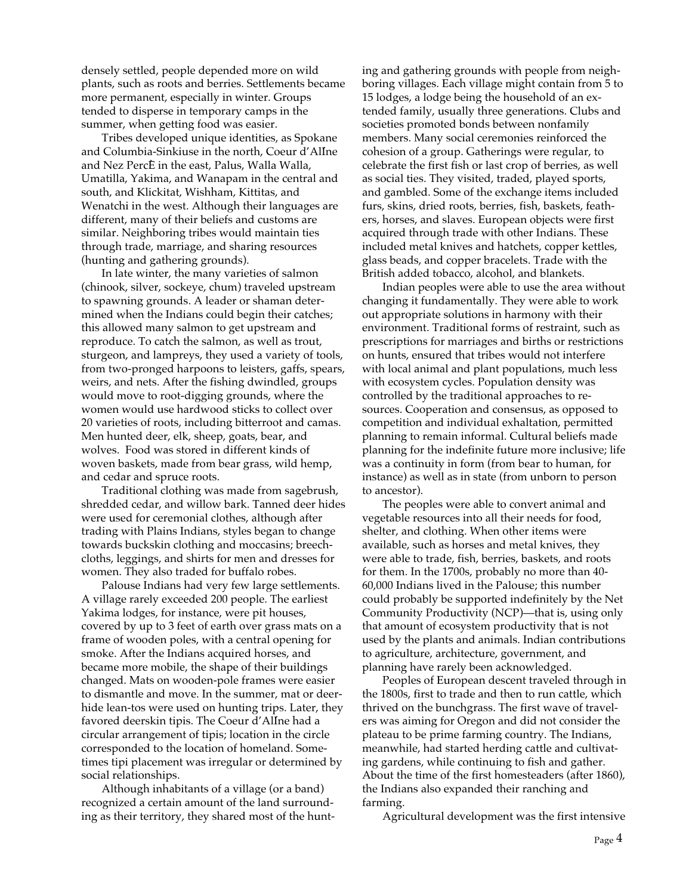densely settled, people depended more on wild plants, such as roots and berries. Settlements became more permanent, especially in winter. Groups tended to disperse in temporary camps in the summer, when getting food was easier.

Tribes developed unique identities, as Spokane and Columbia-Sinkiuse in the north, Coeur d'AlÍne and Nez PercÈ in the east, Palus, Walla Walla, Umatilla, Yakima, and Wanapam in the central and south, and Klickitat, Wishham, Kittitas, and Wenatchi in the west. Although their languages are different, many of their beliefs and customs are similar. Neighboring tribes would maintain ties through trade, marriage, and sharing resources (hunting and gathering grounds).

In late winter, the many varieties of salmon (chinook, silver, sockeye, chum) traveled upstream to spawning grounds. A leader or shaman determined when the Indians could begin their catches; this allowed many salmon to get upstream and reproduce. To catch the salmon, as well as trout, sturgeon, and lampreys, they used a variety of tools, from two-pronged harpoons to leisters, gaffs, spears, weirs, and nets. After the fishing dwindled, groups would move to root-digging grounds, where the women would use hardwood sticks to collect over 20 varieties of roots, including bitterroot and camas. Men hunted deer, elk, sheep, goats, bear, and wolves. Food was stored in different kinds of woven baskets, made from bear grass, wild hemp, and cedar and spruce roots.

Traditional clothing was made from sagebrush, shredded cedar, and willow bark. Tanned deer hides were used for ceremonial clothes, although after trading with Plains Indians, styles began to change towards buckskin clothing and moccasins; breechcloths, leggings, and shirts for men and dresses for women. They also traded for buffalo robes.

Palouse Indians had very few large settlements. A village rarely exceeded 200 people. The earliest Yakima lodges, for instance, were pit houses, covered by up to 3 feet of earth over grass mats on a frame of wooden poles, with a central opening for smoke. After the Indians acquired horses, and became more mobile, the shape of their buildings changed. Mats on wooden-pole frames were easier to dismantle and move. In the summer, mat or deerhide lean-tos were used on hunting trips. Later, they favored deerskin tipis. The Coeur d'AlÍne had a circular arrangement of tipis; location in the circle corresponded to the location of homeland. Sometimes tipi placement was irregular or determined by social relationships.

Although inhabitants of a village (or a band) recognized a certain amount of the land surrounding as their territory, they shared most of the hunting and gathering grounds with people from neighboring villages. Each village might contain from 5 to 15 lodges, a lodge being the household of an extended family, usually three generations. Clubs and societies promoted bonds between nonfamily members. Many social ceremonies reinforced the cohesion of a group. Gatherings were regular, to celebrate the first fish or last crop of berries, as well as social ties. They visited, traded, played sports, and gambled. Some of the exchange items included furs, skins, dried roots, berries, fish, baskets, feathers, horses, and slaves. European objects were first acquired through trade with other Indians. These included metal knives and hatchets, copper kettles, glass beads, and copper bracelets. Trade with the British added tobacco, alcohol, and blankets.

Indian peoples were able to use the area without changing it fundamentally. They were able to work out appropriate solutions in harmony with their environment. Traditional forms of restraint, such as prescriptions for marriages and births or restrictions on hunts, ensured that tribes would not interfere with local animal and plant populations, much less with ecosystem cycles. Population density was controlled by the traditional approaches to resources. Cooperation and consensus, as opposed to competition and individual exhaltation, permitted planning to remain informal. Cultural beliefs made planning for the indefinite future more inclusive; life was a continuity in form (from bear to human, for instance) as well as in state (from unborn to person to ancestor).

The peoples were able to convert animal and vegetable resources into all their needs for food, shelter, and clothing. When other items were available, such as horses and metal knives, they were able to trade, fish, berries, baskets, and roots for them. In the 1700s, probably no more than 40- 60,000 Indians lived in the Palouse; this number could probably be supported indefinitely by the Net Community Productivity (NCP)—that is, using only that amount of ecosystem productivity that is not used by the plants and animals. Indian contributions to agriculture, architecture, government, and planning have rarely been acknowledged.

Peoples of European descent traveled through in the 1800s, first to trade and then to run cattle, which thrived on the bunchgrass. The first wave of travelers was aiming for Oregon and did not consider the plateau to be prime farming country. The Indians, meanwhile, had started herding cattle and cultivating gardens, while continuing to fish and gather. About the time of the first homesteaders (after 1860), the Indians also expanded their ranching and farming.

Agricultural development was the first intensive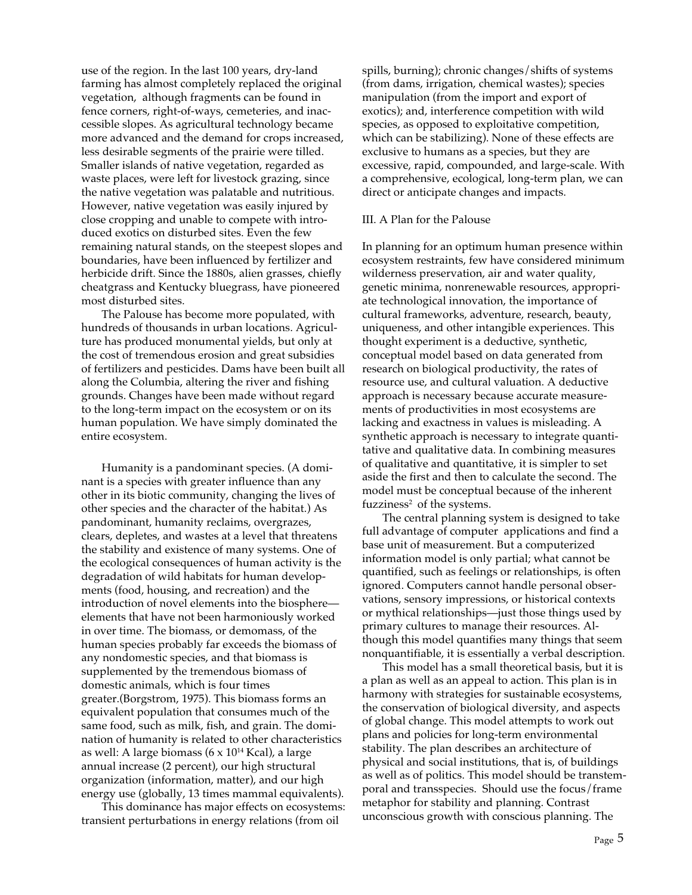use of the region. In the last 100 years, dry-land farming has almost completely replaced the original vegetation, although fragments can be found in fence corners, right-of-ways, cemeteries, and inaccessible slopes. As agricultural technology became more advanced and the demand for crops increased, less desirable segments of the prairie were tilled. Smaller islands of native vegetation, regarded as waste places, were left for livestock grazing, since the native vegetation was palatable and nutritious. However, native vegetation was easily injured by close cropping and unable to compete with introduced exotics on disturbed sites. Even the few remaining natural stands, on the steepest slopes and boundaries, have been influenced by fertilizer and herbicide drift. Since the 1880s, alien grasses, chiefly cheatgrass and Kentucky bluegrass, have pioneered most disturbed sites.

The Palouse has become more populated, with hundreds of thousands in urban locations. Agriculture has produced monumental yields, but only at the cost of tremendous erosion and great subsidies of fertilizers and pesticides. Dams have been built all along the Columbia, altering the river and fishing grounds. Changes have been made without regard to the long-term impact on the ecosystem or on its human population. We have simply dominated the entire ecosystem.

Humanity is a pandominant species. (A dominant is a species with greater influence than any other in its biotic community, changing the lives of other species and the character of the habitat.) As pandominant, humanity reclaims, overgrazes, clears, depletes, and wastes at a level that threatens the stability and existence of many systems. One of the ecological consequences of human activity is the degradation of wild habitats for human developments (food, housing, and recreation) and the introduction of novel elements into the biosphere elements that have not been harmoniously worked in over time. The biomass, or demomass, of the human species probably far exceeds the biomass of any nondomestic species, and that biomass is supplemented by the tremendous biomass of domestic animals, which is four times greater.(Borgstrom, 1975). This biomass forms an equivalent population that consumes much of the same food, such as milk, fish, and grain. The domination of humanity is related to other characteristics as well: A large biomass ( $6 \times 10^{14}$  Kcal), a large annual increase (2 percent), our high structural organization (information, matter), and our high energy use (globally, 13 times mammal equivalents).

This dominance has major effects on ecosystems: transient perturbations in energy relations (from oil

spills, burning); chronic changes/shifts of systems (from dams, irrigation, chemical wastes); species manipulation (from the import and export of exotics); and, interference competition with wild species, as opposed to exploitative competition, which can be stabilizing). None of these effects are exclusive to humans as a species, but they are excessive, rapid, compounded, and large-scale. With a comprehensive, ecological, long-term plan, we can direct or anticipate changes and impacts.

#### III. A Plan for the Palouse

In planning for an optimum human presence within ecosystem restraints, few have considered minimum wilderness preservation, air and water quality, genetic minima, nonrenewable resources, appropriate technological innovation, the importance of cultural frameworks, adventure, research, beauty, uniqueness, and other intangible experiences. This thought experiment is a deductive, synthetic, conceptual model based on data generated from research on biological productivity, the rates of resource use, and cultural valuation. A deductive approach is necessary because accurate measurements of productivities in most ecosystems are lacking and exactness in values is misleading. A synthetic approach is necessary to integrate quantitative and qualitative data. In combining measures of qualitative and quantitative, it is simpler to set aside the first and then to calculate the second. The model must be conceptual because of the inherent fuzziness<sup>2</sup> of the systems.

The central planning system is designed to take full advantage of computer applications and find a base unit of measurement. But a computerized information model is only partial; what cannot be quantified, such as feelings or relationships, is often ignored. Computers cannot handle personal observations, sensory impressions, or historical contexts or mythical relationships—just those things used by primary cultures to manage their resources. Although this model quantifies many things that seem nonquantifiable, it is essentially a verbal description.

This model has a small theoretical basis, but it is a plan as well as an appeal to action. This plan is in harmony with strategies for sustainable ecosystems, the conservation of biological diversity, and aspects of global change. This model attempts to work out plans and policies for long-term environmental stability. The plan describes an architecture of physical and social institutions, that is, of buildings as well as of politics. This model should be transtemporal and transspecies. Should use the focus/frame metaphor for stability and planning. Contrast unconscious growth with conscious planning. The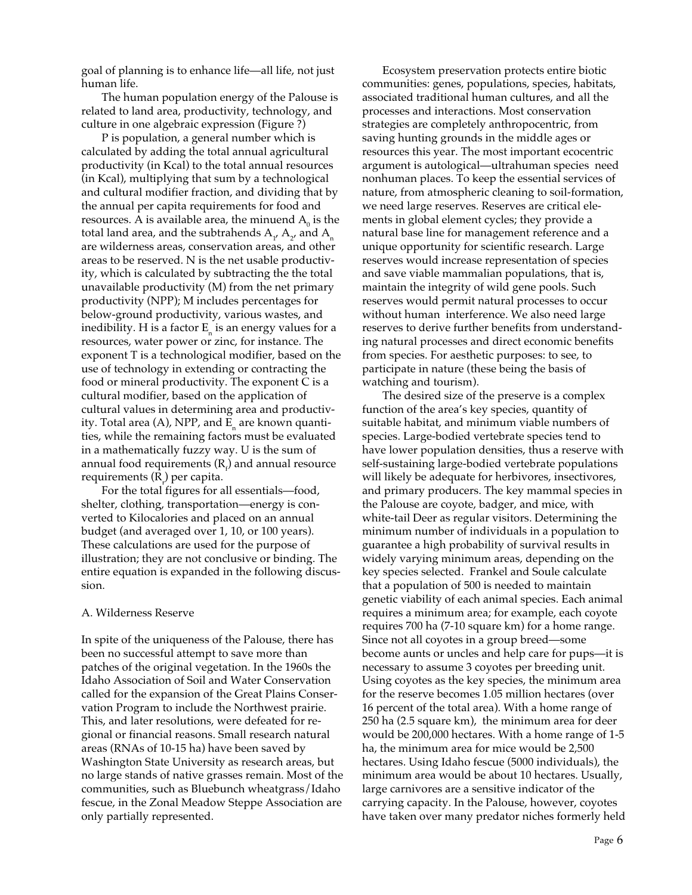goal of planning is to enhance life—all life, not just human life.

The human population energy of the Palouse is related to land area, productivity, technology, and culture in one algebraic expression (Figure ?)

P is population, a general number which is calculated by adding the total annual agricultural productivity (in Kcal) to the total annual resources (in Kcal), multiplying that sum by a technological and cultural modifier fraction, and dividing that by the annual per capita requirements for food and resources. A is available area, the minuend  $A_{0}$  is the total land area, and the subtrahends  $\rm A_{_1}$ ,  $\rm A_{_2}$ , and  $\rm A_{_n}$ are wilderness areas, conservation areas, and other areas to be reserved. N is the net usable productivity, which is calculated by subtracting the the total unavailable productivity (M) from the net primary productivity (NPP); M includes percentages for below-ground productivity, various wastes, and inedibility. H is a factor  $E_n$  is an energy values for a resources, water power or zinc, for instance. The exponent T is a technological modifier, based on the use of technology in extending or contracting the food or mineral productivity. The exponent C is a cultural modifier, based on the application of cultural values in determining area and productivity. Total area (A), NPP, and  $\mathsf{E}_{_\mathrm{n}}$  are known quantities, while the remaining factors must be evaluated in a mathematically fuzzy way. U is the sum of annual food requirements  $(\mathrm{R}_\mathrm{f})$  and annual resource requirements  $(R<sub>r</sub>)$  per capita.

For the total figures for all essentials—food, shelter, clothing, transportation—energy is converted to Kilocalories and placed on an annual budget (and averaged over 1, 10, or 100 years). These calculations are used for the purpose of illustration; they are not conclusive or binding. The entire equation is expanded in the following discussion.

#### A. Wilderness Reserve

In spite of the uniqueness of the Palouse, there has been no successful attempt to save more than patches of the original vegetation. In the 1960s the Idaho Association of Soil and Water Conservation called for the expansion of the Great Plains Conservation Program to include the Northwest prairie. This, and later resolutions, were defeated for regional or financial reasons. Small research natural areas (RNAs of 10-15 ha) have been saved by Washington State University as research areas, but no large stands of native grasses remain. Most of the communities, such as Bluebunch wheatgrass/Idaho fescue, in the Zonal Meadow Steppe Association are only partially represented.

Ecosystem preservation protects entire biotic communities: genes, populations, species, habitats, associated traditional human cultures, and all the processes and interactions. Most conservation strategies are completely anthropocentric, from saving hunting grounds in the middle ages or resources this year. The most important ecocentric argument is autological—ultrahuman species need nonhuman places. To keep the essential services of nature, from atmospheric cleaning to soil-formation, we need large reserves. Reserves are critical elements in global element cycles; they provide a natural base line for management reference and a unique opportunity for scientific research. Large reserves would increase representation of species and save viable mammalian populations, that is, maintain the integrity of wild gene pools. Such reserves would permit natural processes to occur without human interference. We also need large reserves to derive further benefits from understanding natural processes and direct economic benefits from species. For aesthetic purposes: to see, to participate in nature (these being the basis of watching and tourism).

The desired size of the preserve is a complex function of the area's key species, quantity of suitable habitat, and minimum viable numbers of species. Large-bodied vertebrate species tend to have lower population densities, thus a reserve with self-sustaining large-bodied vertebrate populations will likely be adequate for herbivores, insectivores, and primary producers. The key mammal species in the Palouse are coyote, badger, and mice, with white-tail Deer as regular visitors. Determining the minimum number of individuals in a population to guarantee a high probability of survival results in widely varying minimum areas, depending on the key species selected. Frankel and Soule calculate that a population of 500 is needed to maintain genetic viability of each animal species. Each animal requires a minimum area; for example, each coyote requires 700 ha (7-10 square km) for a home range. Since not all coyotes in a group breed—some become aunts or uncles and help care for pups—it is necessary to assume 3 coyotes per breeding unit. Using coyotes as the key species, the minimum area for the reserve becomes 1.05 million hectares (over 16 percent of the total area). With a home range of 250 ha (2.5 square km), the minimum area for deer would be 200,000 hectares. With a home range of 1-5 ha, the minimum area for mice would be 2,500 hectares. Using Idaho fescue (5000 individuals), the minimum area would be about 10 hectares. Usually, large carnivores are a sensitive indicator of the carrying capacity. In the Palouse, however, coyotes have taken over many predator niches formerly held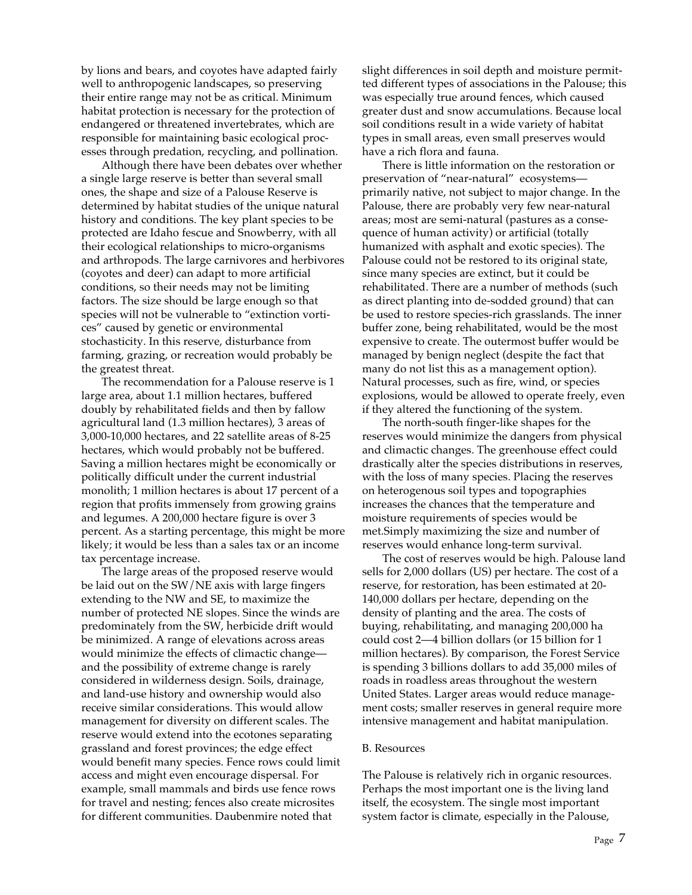by lions and bears, and coyotes have adapted fairly well to anthropogenic landscapes, so preserving their entire range may not be as critical. Minimum habitat protection is necessary for the protection of endangered or threatened invertebrates, which are responsible for maintaining basic ecological processes through predation, recycling, and pollination.

Although there have been debates over whether a single large reserve is better than several small ones, the shape and size of a Palouse Reserve is determined by habitat studies of the unique natural history and conditions. The key plant species to be protected are Idaho fescue and Snowberry, with all their ecological relationships to micro-organisms and arthropods. The large carnivores and herbivores (coyotes and deer) can adapt to more artificial conditions, so their needs may not be limiting factors. The size should be large enough so that species will not be vulnerable to "extinction vortices" caused by genetic or environmental stochasticity. In this reserve, disturbance from farming, grazing, or recreation would probably be the greatest threat.

The recommendation for a Palouse reserve is 1 large area, about 1.1 million hectares, buffered doubly by rehabilitated fields and then by fallow agricultural land (1.3 million hectares), 3 areas of 3,000-10,000 hectares, and 22 satellite areas of 8-25 hectares, which would probably not be buffered. Saving a million hectares might be economically or politically difficult under the current industrial monolith; 1 million hectares is about 17 percent of a region that profits immensely from growing grains and legumes. A 200,000 hectare figure is over 3 percent. As a starting percentage, this might be more likely; it would be less than a sales tax or an income tax percentage increase.

The large areas of the proposed reserve would be laid out on the SW/NE axis with large fingers extending to the NW and SE, to maximize the number of protected NE slopes. Since the winds are predominately from the SW, herbicide drift would be minimized. A range of elevations across areas would minimize the effects of climactic change and the possibility of extreme change is rarely considered in wilderness design. Soils, drainage, and land-use history and ownership would also receive similar considerations. This would allow management for diversity on different scales. The reserve would extend into the ecotones separating grassland and forest provinces; the edge effect would benefit many species. Fence rows could limit access and might even encourage dispersal. For example, small mammals and birds use fence rows for travel and nesting; fences also create microsites for different communities. Daubenmire noted that

slight differences in soil depth and moisture permitted different types of associations in the Palouse; this was especially true around fences, which caused greater dust and snow accumulations. Because local soil conditions result in a wide variety of habitat types in small areas, even small preserves would have a rich flora and fauna.

There is little information on the restoration or preservation of "near-natural" ecosystems primarily native, not subject to major change. In the Palouse, there are probably very few near-natural areas; most are semi-natural (pastures as a consequence of human activity) or artificial (totally humanized with asphalt and exotic species). The Palouse could not be restored to its original state, since many species are extinct, but it could be rehabilitated. There are a number of methods (such as direct planting into de-sodded ground) that can be used to restore species-rich grasslands. The inner buffer zone, being rehabilitated, would be the most expensive to create. The outermost buffer would be managed by benign neglect (despite the fact that many do not list this as a management option). Natural processes, such as fire, wind, or species explosions, would be allowed to operate freely, even if they altered the functioning of the system.

The north-south finger-like shapes for the reserves would minimize the dangers from physical and climactic changes. The greenhouse effect could drastically alter the species distributions in reserves, with the loss of many species. Placing the reserves on heterogenous soil types and topographies increases the chances that the temperature and moisture requirements of species would be met.Simply maximizing the size and number of reserves would enhance long-term survival.

The cost of reserves would be high. Palouse land sells for 2,000 dollars (US) per hectare. The cost of a reserve, for restoration, has been estimated at 20- 140,000 dollars per hectare, depending on the density of planting and the area. The costs of buying, rehabilitating, and managing 200,000 ha could cost 2—4 billion dollars (or 15 billion for 1 million hectares). By comparison, the Forest Service is spending 3 billions dollars to add 35,000 miles of roads in roadless areas throughout the western United States. Larger areas would reduce management costs; smaller reserves in general require more intensive management and habitat manipulation.

#### B. Resources

The Palouse is relatively rich in organic resources. Perhaps the most important one is the living land itself, the ecosystem. The single most important system factor is climate, especially in the Palouse,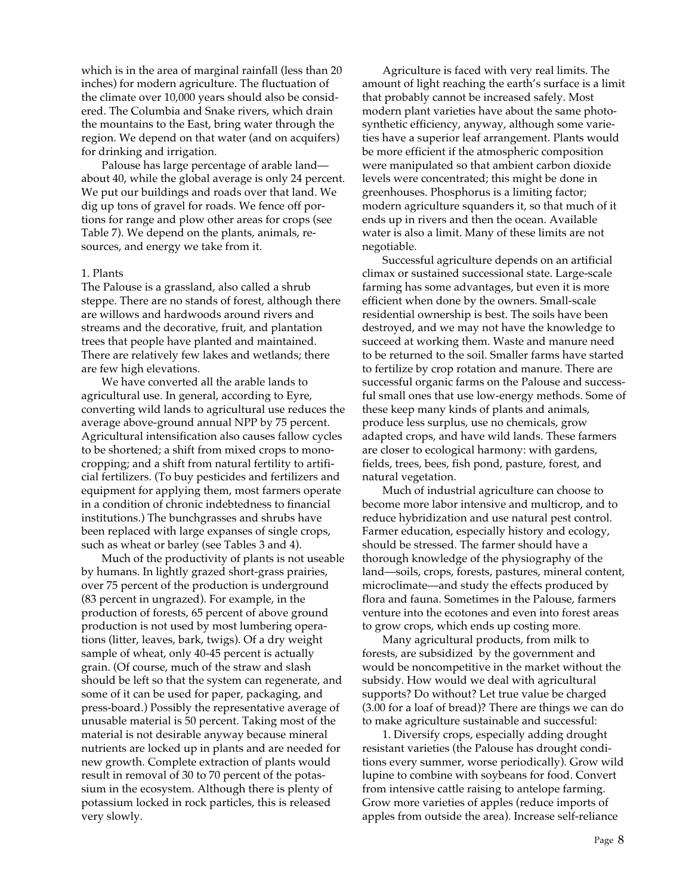which is in the area of marginal rainfall (less than 20 inches) for modern agriculture. The fluctuation of the climate over 10,000 years should also be considered. The Columbia and Snake rivers, which drain the mountains to the East, bring water through the region. We depend on that water (and on acquifers) for drinking and irrigation.

Palouse has large percentage of arable land about 40, while the global average is only 24 percent. We put our buildings and roads over that land. We dig up tons of gravel for roads. We fence off portions for range and plow other areas for crops (see Table 7). We depend on the plants, animals, resources, and energy we take from it.

#### 1. Plants

The Palouse is a grassland, also called a shrub steppe. There are no stands of forest, although there are willows and hardwoods around rivers and streams and the decorative, fruit, and plantation trees that people have planted and maintained. There are relatively few lakes and wetlands; there are few high elevations.

We have converted all the arable lands to agricultural use. In general, according to Eyre, converting wild lands to agricultural use reduces the average above-ground annual NPP by 75 percent. Agricultural intensification also causes fallow cycles to be shortened; a shift from mixed crops to monocropping; and a shift from natural fertility to artificial fertilizers. (To buy pesticides and fertilizers and equipment for applying them, most farmers operate in a condition of chronic indebtedness to financial institutions.) The bunchgrasses and shrubs have been replaced with large expanses of single crops, such as wheat or barley (see Tables 3 and 4).

Much of the productivity of plants is not useable by humans. In lightly grazed short-grass prairies, over 75 percent of the production is underground (83 percent in ungrazed). For example, in the production of forests, 65 percent of above ground production is not used by most lumbering operations (litter, leaves, bark, twigs). Of a dry weight sample of wheat, only 40-45 percent is actually grain. (Of course, much of the straw and slash should be left so that the system can regenerate, and some of it can be used for paper, packaging, and press-board.) Possibly the representative average of unusable material is 50 percent. Taking most of the material is not desirable anyway because mineral nutrients are locked up in plants and are needed for new growth. Complete extraction of plants would result in removal of 30 to 70 percent of the potassium in the ecosystem. Although there is plenty of potassium locked in rock particles, this is released very slowly.

Agriculture is faced with very real limits. The amount of light reaching the earth's surface is a limit that probably cannot be increased safely. Most modern plant varieties have about the same photosynthetic efficiency, anyway, although some varieties have a superior leaf arrangement. Plants would be more efficient if the atmospheric composition were manipulated so that ambient carbon dioxide levels were concentrated; this might be done in greenhouses. Phosphorus is a limiting factor; modern agriculture squanders it, so that much of it ends up in rivers and then the ocean. Available water is also a limit. Many of these limits are not negotiable.

Successful agriculture depends on an artificial climax or sustained successional state. Large-scale farming has some advantages, but even it is more efficient when done by the owners. Small-scale residential ownership is best. The soils have been destroyed, and we may not have the knowledge to succeed at working them. Waste and manure need to be returned to the soil. Smaller farms have started to fertilize by crop rotation and manure. There are successful organic farms on the Palouse and successful small ones that use low-energy methods. Some of these keep many kinds of plants and animals, produce less surplus, use no chemicals, grow adapted crops, and have wild lands. These farmers are closer to ecological harmony: with gardens, fields, trees, bees, fish pond, pasture, forest, and natural vegetation.

Much of industrial agriculture can choose to become more labor intensive and multicrop, and to reduce hybridization and use natural pest control. Farmer education, especially history and ecology, should be stressed. The farmer should have a thorough knowledge of the physiography of the land—soils, crops, forests, pastures, mineral content, microclimate—and study the effects produced by flora and fauna. Sometimes in the Palouse, farmers venture into the ecotones and even into forest areas to grow crops, which ends up costing more.

Many agricultural products, from milk to forests, are subsidized by the government and would be noncompetitive in the market without the subsidy. How would we deal with agricultural supports? Do without? Let true value be charged (3.00 for a loaf of bread)? There are things we can do to make agriculture sustainable and successful:

1. Diversify crops, especially adding drought resistant varieties (the Palouse has drought conditions every summer, worse periodically). Grow wild lupine to combine with soybeans for food. Convert from intensive cattle raising to antelope farming. Grow more varieties of apples (reduce imports of apples from outside the area). Increase self-reliance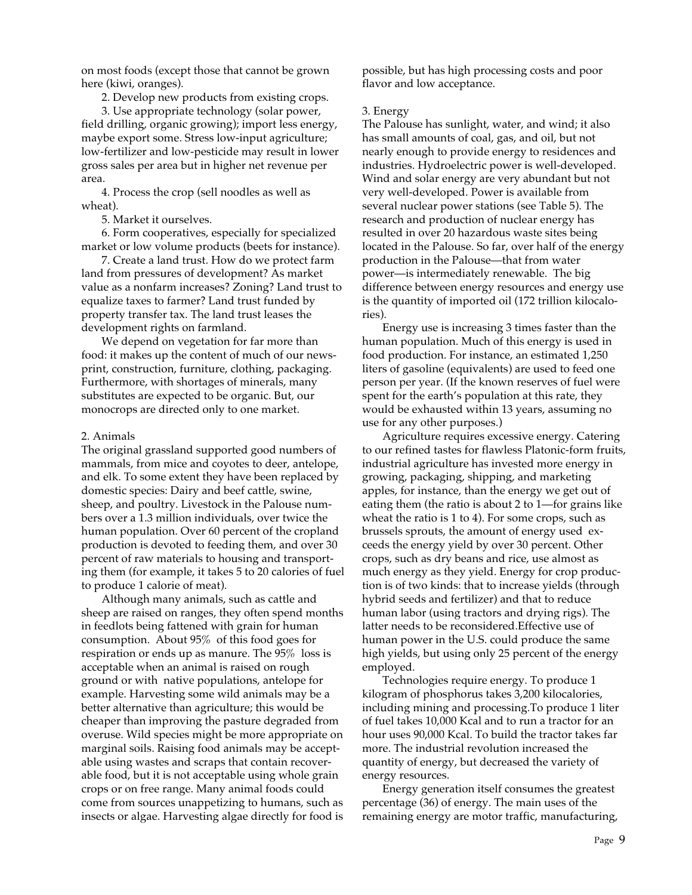on most foods (except those that cannot be grown here (kiwi, oranges).

2. Develop new products from existing crops.

3. Use appropriate technology (solar power, field drilling, organic growing); import less energy, maybe export some. Stress low-input agriculture; low-fertilizer and low-pesticide may result in lower gross sales per area but in higher net revenue per area.

4. Process the crop (sell noodles as well as wheat).

5. Market it ourselves.

6. Form cooperatives, especially for specialized market or low volume products (beets for instance).

7. Create a land trust. How do we protect farm land from pressures of development? As market value as a nonfarm increases? Zoning? Land trust to equalize taxes to farmer? Land trust funded by property transfer tax. The land trust leases the development rights on farmland.

We depend on vegetation for far more than food: it makes up the content of much of our newsprint, construction, furniture, clothing, packaging. Furthermore, with shortages of minerals, many substitutes are expected to be organic. But, our monocrops are directed only to one market.

#### 2. Animals

The original grassland supported good numbers of mammals, from mice and coyotes to deer, antelope, and elk. To some extent they have been replaced by domestic species: Dairy and beef cattle, swine, sheep, and poultry. Livestock in the Palouse numbers over a 1.3 million individuals, over twice the human population. Over 60 percent of the cropland production is devoted to feeding them, and over 30 percent of raw materials to housing and transporting them (for example, it takes 5 to 20 calories of fuel to produce 1 calorie of meat).

Although many animals, such as cattle and sheep are raised on ranges, they often spend months in feedlots being fattened with grain for human consumption. About 95% of this food goes for respiration or ends up as manure. The 95% loss is acceptable when an animal is raised on rough ground or with native populations, antelope for example. Harvesting some wild animals may be a better alternative than agriculture; this would be cheaper than improving the pasture degraded from overuse. Wild species might be more appropriate on marginal soils. Raising food animals may be acceptable using wastes and scraps that contain recoverable food, but it is not acceptable using whole grain crops or on free range. Many animal foods could come from sources unappetizing to humans, such as insects or algae. Harvesting algae directly for food is

possible, but has high processing costs and poor flavor and low acceptance.

#### 3. Energy

The Palouse has sunlight, water, and wind; it also has small amounts of coal, gas, and oil, but not nearly enough to provide energy to residences and industries. Hydroelectric power is well-developed. Wind and solar energy are very abundant but not very well-developed. Power is available from several nuclear power stations (see Table 5). The research and production of nuclear energy has resulted in over 20 hazardous waste sites being located in the Palouse. So far, over half of the energy production in the Palouse—that from water power—is intermediately renewable. The big difference between energy resources and energy use is the quantity of imported oil (172 trillion kilocalories).

Energy use is increasing 3 times faster than the human population. Much of this energy is used in food production. For instance, an estimated 1,250 liters of gasoline (equivalents) are used to feed one person per year. (If the known reserves of fuel were spent for the earth's population at this rate, they would be exhausted within 13 years, assuming no use for any other purposes.)

Agriculture requires excessive energy. Catering to our refined tastes for flawless Platonic-form fruits, industrial agriculture has invested more energy in growing, packaging, shipping, and marketing apples, for instance, than the energy we get out of eating them (the ratio is about 2 to 1—for grains like wheat the ratio is 1 to 4). For some crops, such as brussels sprouts, the amount of energy used exceeds the energy yield by over 30 percent. Other crops, such as dry beans and rice, use almost as much energy as they yield. Energy for crop production is of two kinds: that to increase yields (through hybrid seeds and fertilizer) and that to reduce human labor (using tractors and drying rigs). The latter needs to be reconsidered.Effective use of human power in the U.S. could produce the same high yields, but using only 25 percent of the energy employed.

Technologies require energy. To produce 1 kilogram of phosphorus takes 3,200 kilocalories, including mining and processing.To produce 1 liter of fuel takes 10,000 Kcal and to run a tractor for an hour uses 90,000 Kcal. To build the tractor takes far more. The industrial revolution increased the quantity of energy, but decreased the variety of energy resources.

Energy generation itself consumes the greatest percentage (36) of energy. The main uses of the remaining energy are motor traffic, manufacturing,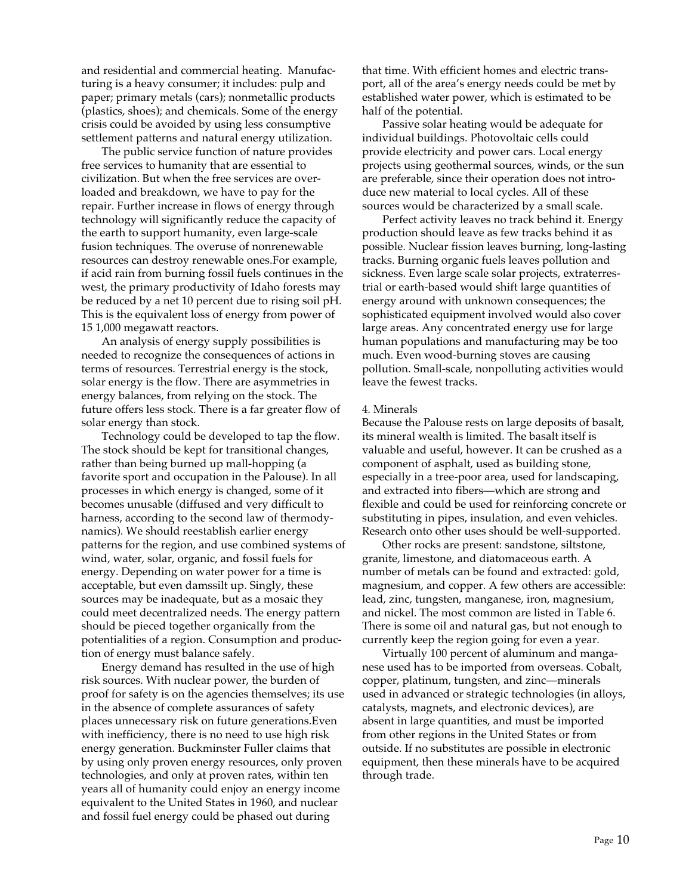and residential and commercial heating. Manufacturing is a heavy consumer; it includes: pulp and paper; primary metals (cars); nonmetallic products (plastics, shoes); and chemicals. Some of the energy crisis could be avoided by using less consumptive settlement patterns and natural energy utilization.

The public service function of nature provides free services to humanity that are essential to civilization. But when the free services are overloaded and breakdown, we have to pay for the repair. Further increase in flows of energy through technology will significantly reduce the capacity of the earth to support humanity, even large-scale fusion techniques. The overuse of nonrenewable resources can destroy renewable ones.For example, if acid rain from burning fossil fuels continues in the west, the primary productivity of Idaho forests may be reduced by a net 10 percent due to rising soil pH. This is the equivalent loss of energy from power of 15 1,000 megawatt reactors.

An analysis of energy supply possibilities is needed to recognize the consequences of actions in terms of resources. Terrestrial energy is the stock, solar energy is the flow. There are asymmetries in energy balances, from relying on the stock. The future offers less stock. There is a far greater flow of solar energy than stock.

Technology could be developed to tap the flow. The stock should be kept for transitional changes, rather than being burned up mall-hopping (a favorite sport and occupation in the Palouse). In all processes in which energy is changed, some of it becomes unusable (diffused and very difficult to harness, according to the second law of thermodynamics). We should reestablish earlier energy patterns for the region, and use combined systems of wind, water, solar, organic, and fossil fuels for energy. Depending on water power for a time is acceptable, but even damssilt up. Singly, these sources may be inadequate, but as a mosaic they could meet decentralized needs. The energy pattern should be pieced together organically from the potentialities of a region. Consumption and production of energy must balance safely.

Energy demand has resulted in the use of high risk sources. With nuclear power, the burden of proof for safety is on the agencies themselves; its use in the absence of complete assurances of safety places unnecessary risk on future generations.Even with inefficiency, there is no need to use high risk energy generation. Buckminster Fuller claims that by using only proven energy resources, only proven technologies, and only at proven rates, within ten years all of humanity could enjoy an energy income equivalent to the United States in 1960, and nuclear and fossil fuel energy could be phased out during

that time. With efficient homes and electric transport, all of the area's energy needs could be met by established water power, which is estimated to be half of the potential.

Passive solar heating would be adequate for individual buildings. Photovoltaic cells could provide electricity and power cars. Local energy projects using geothermal sources, winds, or the sun are preferable, since their operation does not introduce new material to local cycles. All of these sources would be characterized by a small scale.

Perfect activity leaves no track behind it. Energy production should leave as few tracks behind it as possible. Nuclear fission leaves burning, long-lasting tracks. Burning organic fuels leaves pollution and sickness. Even large scale solar projects, extraterrestrial or earth-based would shift large quantities of energy around with unknown consequences; the sophisticated equipment involved would also cover large areas. Any concentrated energy use for large human populations and manufacturing may be too much. Even wood-burning stoves are causing pollution. Small-scale, nonpolluting activities would leave the fewest tracks.

#### 4. Minerals

Because the Palouse rests on large deposits of basalt, its mineral wealth is limited. The basalt itself is valuable and useful, however. It can be crushed as a component of asphalt, used as building stone, especially in a tree-poor area, used for landscaping, and extracted into fibers—which are strong and flexible and could be used for reinforcing concrete or substituting in pipes, insulation, and even vehicles. Research onto other uses should be well-supported.

Other rocks are present: sandstone, siltstone, granite, limestone, and diatomaceous earth. A number of metals can be found and extracted: gold, magnesium, and copper. A few others are accessible: lead, zinc, tungsten, manganese, iron, magnesium, and nickel. The most common are listed in Table 6. There is some oil and natural gas, but not enough to currently keep the region going for even a year.

Virtually 100 percent of aluminum and manganese used has to be imported from overseas. Cobalt, copper, platinum, tungsten, and zinc—minerals used in advanced or strategic technologies (in alloys, catalysts, magnets, and electronic devices), are absent in large quantities, and must be imported from other regions in the United States or from outside. If no substitutes are possible in electronic equipment, then these minerals have to be acquired through trade.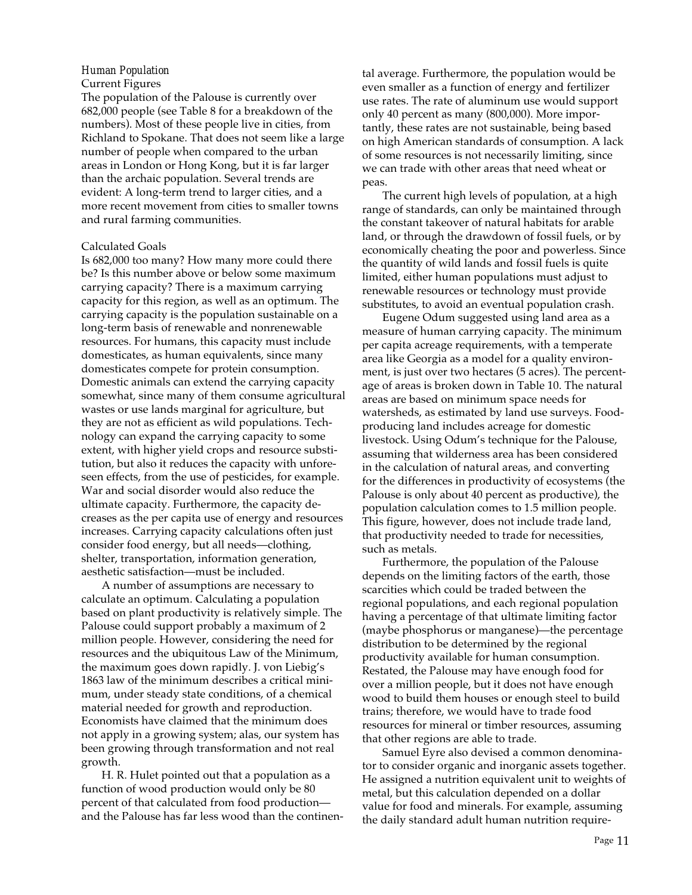#### *Human Population*

#### Current Figures

The population of the Palouse is currently over 682,000 people (see Table 8 for a breakdown of the numbers). Most of these people live in cities, from Richland to Spokane. That does not seem like a large number of people when compared to the urban areas in London or Hong Kong, but it is far larger than the archaic population. Several trends are evident: A long-term trend to larger cities, and a more recent movement from cities to smaller towns and rural farming communities.

#### Calculated Goals

Is 682,000 too many? How many more could there be? Is this number above or below some maximum carrying capacity? There is a maximum carrying capacity for this region, as well as an optimum. The carrying capacity is the population sustainable on a long-term basis of renewable and nonrenewable resources. For humans, this capacity must include domesticates, as human equivalents, since many domesticates compete for protein consumption. Domestic animals can extend the carrying capacity somewhat, since many of them consume agricultural wastes or use lands marginal for agriculture, but they are not as efficient as wild populations. Technology can expand the carrying capacity to some extent, with higher yield crops and resource substitution, but also it reduces the capacity with unforeseen effects, from the use of pesticides, for example. War and social disorder would also reduce the ultimate capacity. Furthermore, the capacity decreases as the per capita use of energy and resources increases. Carrying capacity calculations often just consider food energy, but all needs—clothing, shelter, transportation, information generation, aesthetic satisfaction—must be included.

A number of assumptions are necessary to calculate an optimum. Calculating a population based on plant productivity is relatively simple. The Palouse could support probably a maximum of 2 million people. However, considering the need for resources and the ubiquitous Law of the Minimum, the maximum goes down rapidly. J. von Liebig's 1863 law of the minimum describes a critical minimum, under steady state conditions, of a chemical material needed for growth and reproduction. Economists have claimed that the minimum does not apply in a growing system; alas, our system has been growing through transformation and not real growth.

H. R. Hulet pointed out that a population as a function of wood production would only be 80 percent of that calculated from food production and the Palouse has far less wood than the continental average. Furthermore, the population would be even smaller as a function of energy and fertilizer use rates. The rate of aluminum use would support only 40 percent as many (800,000). More importantly, these rates are not sustainable, being based on high American standards of consumption. A lack of some resources is not necessarily limiting, since we can trade with other areas that need wheat or peas.

The current high levels of population, at a high range of standards, can only be maintained through the constant takeover of natural habitats for arable land, or through the drawdown of fossil fuels, or by economically cheating the poor and powerless. Since the quantity of wild lands and fossil fuels is quite limited, either human populations must adjust to renewable resources or technology must provide substitutes, to avoid an eventual population crash.

Eugene Odum suggested using land area as a measure of human carrying capacity. The minimum per capita acreage requirements, with a temperate area like Georgia as a model for a quality environment, is just over two hectares (5 acres). The percentage of areas is broken down in Table 10. The natural areas are based on minimum space needs for watersheds, as estimated by land use surveys. Foodproducing land includes acreage for domestic livestock. Using Odum's technique for the Palouse, assuming that wilderness area has been considered in the calculation of natural areas, and converting for the differences in productivity of ecosystems (the Palouse is only about 40 percent as productive), the population calculation comes to 1.5 million people. This figure, however, does not include trade land, that productivity needed to trade for necessities, such as metals.

Furthermore, the population of the Palouse depends on the limiting factors of the earth, those scarcities which could be traded between the regional populations, and each regional population having a percentage of that ultimate limiting factor (maybe phosphorus or manganese)—the percentage distribution to be determined by the regional productivity available for human consumption. Restated, the Palouse may have enough food for over a million people, but it does not have enough wood to build them houses or enough steel to build trains; therefore, we would have to trade food resources for mineral or timber resources, assuming that other regions are able to trade.

Samuel Eyre also devised a common denominator to consider organic and inorganic assets together. He assigned a nutrition equivalent unit to weights of metal, but this calculation depended on a dollar value for food and minerals. For example, assuming the daily standard adult human nutrition require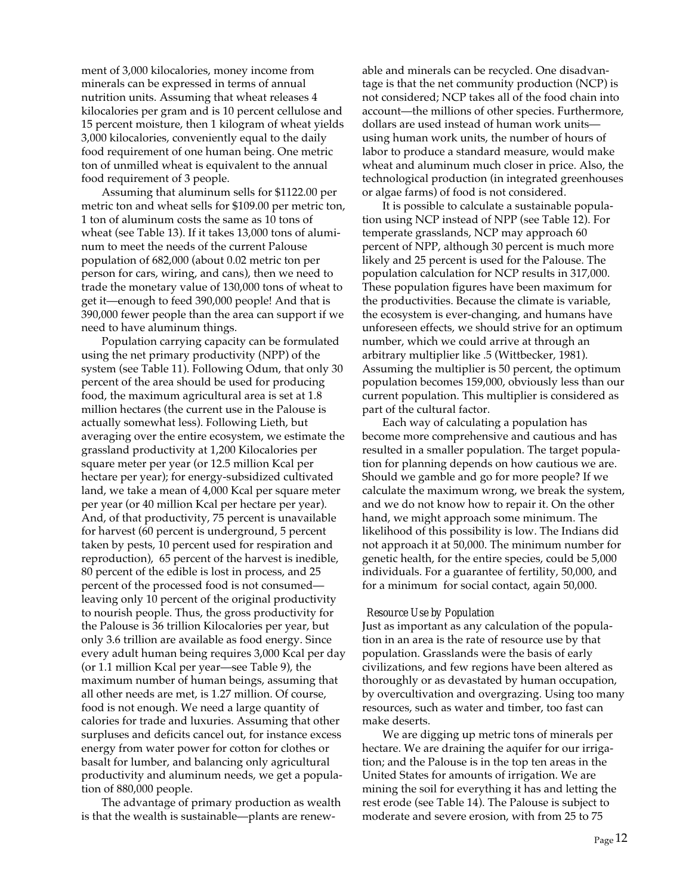ment of 3,000 kilocalories, money income from minerals can be expressed in terms of annual nutrition units. Assuming that wheat releases 4 kilocalories per gram and is 10 percent cellulose and 15 percent moisture, then 1 kilogram of wheat yields 3,000 kilocalories, conveniently equal to the daily food requirement of one human being. One metric ton of unmilled wheat is equivalent to the annual food requirement of 3 people.

Assuming that aluminum sells for \$1122.00 per metric ton and wheat sells for \$109.00 per metric ton, 1 ton of aluminum costs the same as 10 tons of wheat (see Table 13). If it takes 13,000 tons of aluminum to meet the needs of the current Palouse population of 682,000 (about 0.02 metric ton per person for cars, wiring, and cans), then we need to trade the monetary value of 130,000 tons of wheat to get it—enough to feed 390,000 people! And that is 390,000 fewer people than the area can support if we need to have aluminum things.

Population carrying capacity can be formulated using the net primary productivity (NPP) of the system (see Table 11). Following Odum, that only 30 percent of the area should be used for producing food, the maximum agricultural area is set at 1.8 million hectares (the current use in the Palouse is actually somewhat less). Following Lieth, but averaging over the entire ecosystem, we estimate the grassland productivity at 1,200 Kilocalories per square meter per year (or 12.5 million Kcal per hectare per year); for energy-subsidized cultivated land, we take a mean of 4,000 Kcal per square meter per year (or 40 million Kcal per hectare per year). And, of that productivity, 75 percent is unavailable for harvest (60 percent is underground, 5 percent taken by pests, 10 percent used for respiration and reproduction), 65 percent of the harvest is inedible, 80 percent of the edible is lost in process, and 25 percent of the processed food is not consumed leaving only 10 percent of the original productivity to nourish people. Thus, the gross productivity for the Palouse is 36 trillion Kilocalories per year, but only 3.6 trillion are available as food energy. Since every adult human being requires 3,000 Kcal per day (or 1.1 million Kcal per year—see Table 9), the maximum number of human beings, assuming that all other needs are met, is 1.27 million. Of course, food is not enough. We need a large quantity of calories for trade and luxuries. Assuming that other surpluses and deficits cancel out, for instance excess energy from water power for cotton for clothes or basalt for lumber, and balancing only agricultural productivity and aluminum needs, we get a population of 880,000 people.

The advantage of primary production as wealth is that the wealth is sustainable—plants are renewable and minerals can be recycled. One disadvantage is that the net community production (NCP) is not considered; NCP takes all of the food chain into account—the millions of other species. Furthermore, dollars are used instead of human work units using human work units, the number of hours of labor to produce a standard measure, would make wheat and aluminum much closer in price. Also, the technological production (in integrated greenhouses or algae farms) of food is not considered.

It is possible to calculate a sustainable population using NCP instead of NPP (see Table 12). For temperate grasslands, NCP may approach 60 percent of NPP, although 30 percent is much more likely and 25 percent is used for the Palouse. The population calculation for NCP results in 317,000. These population figures have been maximum for the productivities. Because the climate is variable, the ecosystem is ever-changing, and humans have unforeseen effects, we should strive for an optimum number, which we could arrive at through an arbitrary multiplier like .5 (Wittbecker, 1981). Assuming the multiplier is 50 percent, the optimum population becomes 159,000, obviously less than our current population. This multiplier is considered as part of the cultural factor.

Each way of calculating a population has become more comprehensive and cautious and has resulted in a smaller population. The target population for planning depends on how cautious we are. Should we gamble and go for more people? If we calculate the maximum wrong, we break the system, and we do not know how to repair it. On the other hand, we might approach some minimum. The likelihood of this possibility is low. The Indians did not approach it at 50,000. The minimum number for genetic health, for the entire species, could be 5,000 individuals. For a guarantee of fertility, 50,000, and for a minimum for social contact, again 50,000.

#### *Resource Use by Population*

Just as important as any calculation of the population in an area is the rate of resource use by that population. Grasslands were the basis of early civilizations, and few regions have been altered as thoroughly or as devastated by human occupation, by overcultivation and overgrazing. Using too many resources, such as water and timber, too fast can make deserts.

We are digging up metric tons of minerals per hectare. We are draining the aquifer for our irrigation; and the Palouse is in the top ten areas in the United States for amounts of irrigation. We are mining the soil for everything it has and letting the rest erode (see Table 14). The Palouse is subject to moderate and severe erosion, with from 25 to 75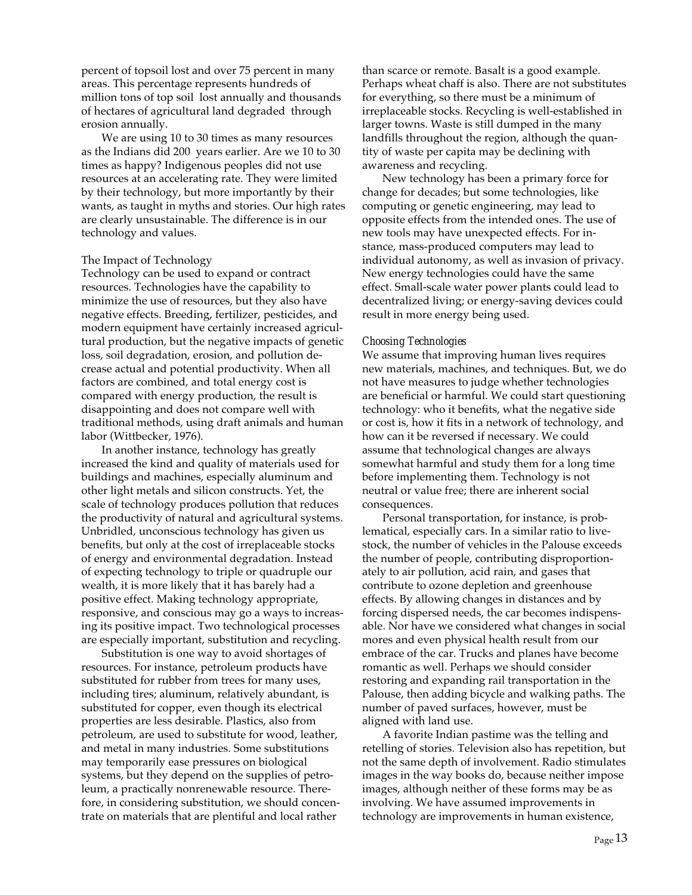percent of topsoil lost and over 75 percent in many areas. This percentage represents hundreds of million tons of top soil lost annually and thousands of hectares of agricultural land degraded through erosion annually.

We are using 10 to 30 times as many resources as the Indians did 200 years earlier. Are we 10 to 30 times as happy? Indigenous peoples did not use resources at an accelerating rate. They were limited by their technology, but more importantly by their wants, as taught in myths and stories. Our high rates are clearly unsustainable. The difference is in our technology and values.

#### The Impact of Technology

Technology can be used to expand or contract resources. Technologies have the capability to minimize the use of resources, but they also have negative effects. Breeding, fertilizer, pesticides, and modern equipment have certainly increased agricultural production, but the negative impacts of genetic loss, soil degradation, erosion, and pollution decrease actual and potential productivity. When all factors are combined, and total energy cost is compared with energy production, the result is disappointing and does not compare well with traditional methods, using draft animals and human labor (Wittbecker, 1976).

In another instance, technology has greatly increased the kind and quality of materials used for buildings and machines, especially aluminum and other light metals and silicon constructs. Yet, the scale of technology produces pollution that reduces the productivity of natural and agricultural systems. Unbridled, unconscious technology has given us benefits, but only at the cost of irreplaceable stocks of energy and environmental degradation. Instead of expecting technology to triple or quadruple our wealth, it is more likely that it has barely had a positive effect. Making technology appropriate, responsive, and conscious may go a ways to increasing its positive impact. Two technological processes are especially important, substitution and recycling.

Substitution is one way to avoid shortages of resources. For instance, petroleum products have substituted for rubber from trees for many uses, including tires; aluminum, relatively abundant, is substituted for copper, even though its electrical properties are less desirable. Plastics, also from petroleum, are used to substitute for wood, leather, and metal in many industries. Some substitutions may temporarily ease pressures on biological systems, but they depend on the supplies of petroleum, a practically nonrenewable resource. Therefore, in considering substitution, we should concentrate on materials that are plentiful and local rather

than scarce or remote. Basalt is a good example. Perhaps wheat chaff is also. There are not substitutes for everything, so there must be a minimum of irreplaceable stocks. Recycling is well-established in larger towns. Waste is still dumped in the many landfills throughout the region, although the quantity of waste per capita may be declining with awareness and recycling.

New technology has been a primary force for change for decades; but some technologies, like computing or genetic engineering, may lead to opposite effects from the intended ones. The use of new tools may have unexpected effects. For instance, mass-produced computers may lead to individual autonomy, as well as invasion of privacy. New energy technologies could have the same effect. Small-scale water power plants could lead to decentralized living; or energy-saving devices could result in more energy being used.

#### *Choosing Technologies*

We assume that improving human lives requires new materials, machines, and techniques. But, we do not have measures to judge whether technologies are beneficial or harmful. We could start questioning technology: who it benefits, what the negative side or cost is, how it fits in a network of technology, and how can it be reversed if necessary. We could assume that technological changes are always somewhat harmful and study them for a long time before implementing them. Technology is not neutral or value free; there are inherent social consequences.

Personal transportation, for instance, is problematical, especially cars. In a similar ratio to livestock, the number of vehicles in the Palouse exceeds the number of people, contributing disproportionately to air pollution, acid rain, and gases that contribute to ozone depletion and greenhouse effects. By allowing changes in distances and by forcing dispersed needs, the car becomes indispensable. Nor have we considered what changes in social mores and even physical health result from our embrace of the car. Trucks and planes have become romantic as well. Perhaps we should consider restoring and expanding rail transportation in the Palouse, then adding bicycle and walking paths. The number of paved surfaces, however, must be aligned with land use.

A favorite Indian pastime was the telling and retelling of stories. Television also has repetition, but not the same depth of involvement. Radio stimulates images in the way books do, because neither impose images, although neither of these forms may be as involving. We have assumed improvements in technology are improvements in human existence,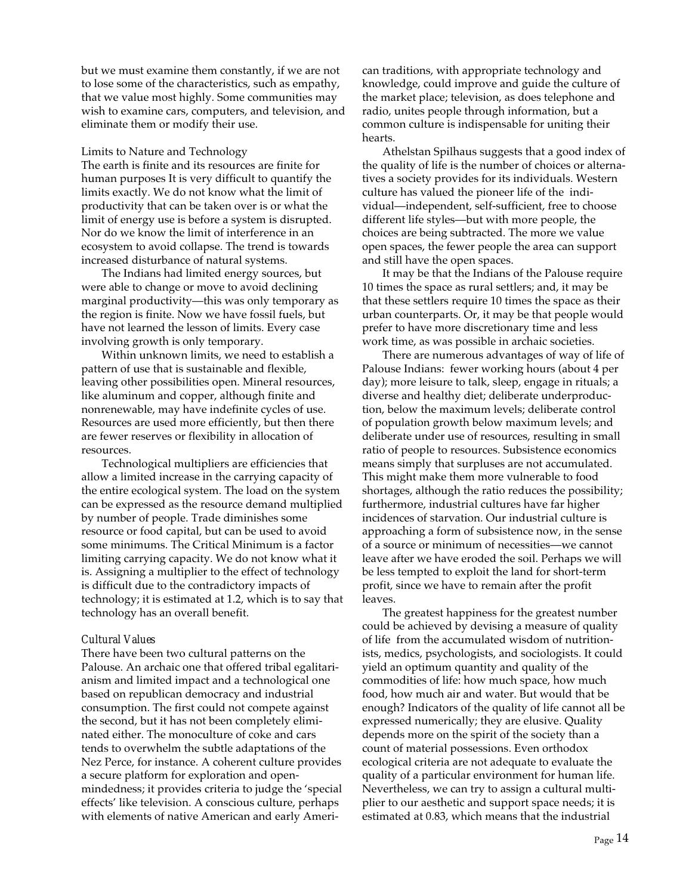but we must examine them constantly, if we are not to lose some of the characteristics, such as empathy, that we value most highly. Some communities may wish to examine cars, computers, and television, and eliminate them or modify their use.

#### Limits to Nature and Technology

The earth is finite and its resources are finite for human purposes It is very difficult to quantify the limits exactly. We do not know what the limit of productivity that can be taken over is or what the limit of energy use is before a system is disrupted. Nor do we know the limit of interference in an ecosystem to avoid collapse. The trend is towards increased disturbance of natural systems.

The Indians had limited energy sources, but were able to change or move to avoid declining marginal productivity—this was only temporary as the region is finite. Now we have fossil fuels, but have not learned the lesson of limits. Every case involving growth is only temporary.

Within unknown limits, we need to establish a pattern of use that is sustainable and flexible, leaving other possibilities open. Mineral resources, like aluminum and copper, although finite and nonrenewable, may have indefinite cycles of use. Resources are used more efficiently, but then there are fewer reserves or flexibility in allocation of resources.

Technological multipliers are efficiencies that allow a limited increase in the carrying capacity of the entire ecological system. The load on the system can be expressed as the resource demand multiplied by number of people. Trade diminishes some resource or food capital, but can be used to avoid some minimums. The Critical Minimum is a factor limiting carrying capacity. We do not know what it is. Assigning a multiplier to the effect of technology is difficult due to the contradictory impacts of technology; it is estimated at 1.2, which is to say that technology has an overall benefit.

### *Cultural Values*

There have been two cultural patterns on the Palouse. An archaic one that offered tribal egalitarianism and limited impact and a technological one based on republican democracy and industrial consumption. The first could not compete against the second, but it has not been completely eliminated either. The monoculture of coke and cars tends to overwhelm the subtle adaptations of the Nez Perce, for instance. A coherent culture provides a secure platform for exploration and openmindedness; it provides criteria to judge the 'special effects' like television. A conscious culture, perhaps with elements of native American and early American traditions, with appropriate technology and knowledge, could improve and guide the culture of the market place; television, as does telephone and radio, unites people through information, but a common culture is indispensable for uniting their hearts.

Athelstan Spilhaus suggests that a good index of the quality of life is the number of choices or alternatives a society provides for its individuals. Western culture has valued the pioneer life of the individual—independent, self-sufficient, free to choose different life styles—but with more people, the choices are being subtracted. The more we value open spaces, the fewer people the area can support and still have the open spaces.

It may be that the Indians of the Palouse require 10 times the space as rural settlers; and, it may be that these settlers require 10 times the space as their urban counterparts. Or, it may be that people would prefer to have more discretionary time and less work time, as was possible in archaic societies.

There are numerous advantages of way of life of Palouse Indians: fewer working hours (about 4 per day); more leisure to talk, sleep, engage in rituals; a diverse and healthy diet; deliberate underproduction, below the maximum levels; deliberate control of population growth below maximum levels; and deliberate under use of resources, resulting in small ratio of people to resources. Subsistence economics means simply that surpluses are not accumulated. This might make them more vulnerable to food shortages, although the ratio reduces the possibility; furthermore, industrial cultures have far higher incidences of starvation. Our industrial culture is approaching a form of subsistence now, in the sense of a source or minimum of necessities—we cannot leave after we have eroded the soil. Perhaps we will be less tempted to exploit the land for short-term profit, since we have to remain after the profit leaves.

The greatest happiness for the greatest number could be achieved by devising a measure of quality of life from the accumulated wisdom of nutritionists, medics, psychologists, and sociologists. It could yield an optimum quantity and quality of the commodities of life: how much space, how much food, how much air and water. But would that be enough? Indicators of the quality of life cannot all be expressed numerically; they are elusive. Quality depends more on the spirit of the society than a count of material possessions. Even orthodox ecological criteria are not adequate to evaluate the quality of a particular environment for human life. Nevertheless, we can try to assign a cultural multiplier to our aesthetic and support space needs; it is estimated at 0.83, which means that the industrial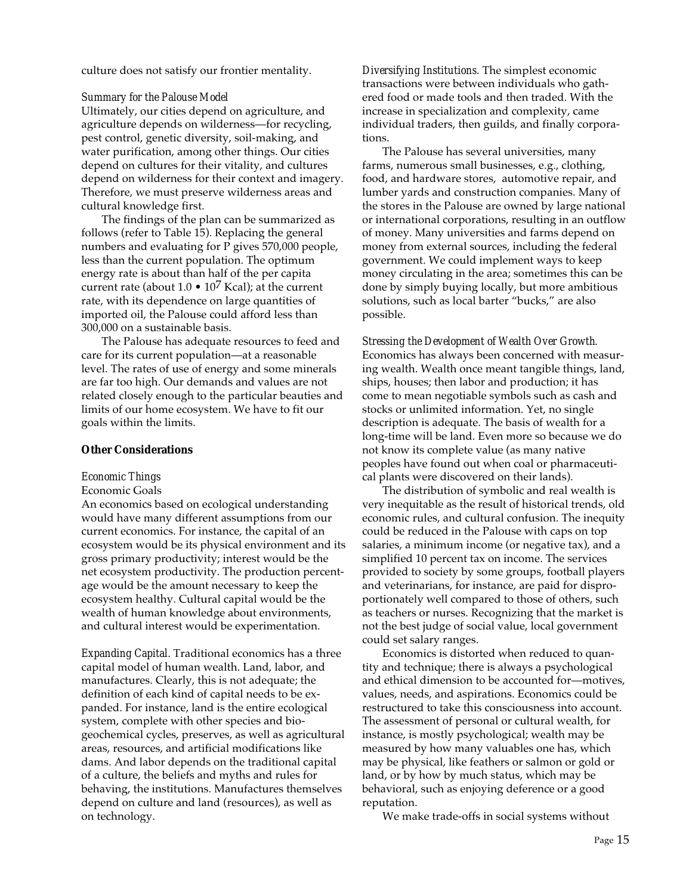culture does not satisfy our frontier mentality.

#### *Summary for the Palouse Model*

Ultimately, our cities depend on agriculture, and agriculture depends on wilderness—for recycling, pest control, genetic diversity, soil-making, and water purification, among other things. Our cities depend on cultures for their vitality, and cultures depend on wilderness for their context and imagery. Therefore, we must preserve wilderness areas and cultural knowledge first.

The findings of the plan can be summarized as follows (refer to Table 15). Replacing the general numbers and evaluating for P gives 570,000 people, less than the current population. The optimum energy rate is about than half of the per capita current rate (about  $1.0 \cdot 10^7$  Kcal); at the current rate, with its dependence on large quantities of imported oil, the Palouse could afford less than 300,000 on a sustainable basis.

The Palouse has adequate resources to feed and care for its current population—at a reasonable level. The rates of use of energy and some minerals are far too high. Our demands and values are not related closely enough to the particular beauties and limits of our home ecosystem. We have to fit our goals within the limits.

#### **Other Considerations**

#### *Economic Things*

#### Economic Goals

An economics based on ecological understanding would have many different assumptions from our current economics. For instance, the capital of an ecosystem would be its physical environment and its gross primary productivity; interest would be the net ecosystem productivity. The production percentage would be the amount necessary to keep the ecosystem healthy. Cultural capital would be the wealth of human knowledge about environments, and cultural interest would be experimentation.

*Expanding Capital*. Traditional economics has a three capital model of human wealth. Land, labor, and manufactures. Clearly, this is not adequate; the definition of each kind of capital needs to be expanded. For instance, land is the entire ecological system, complete with other species and biogeochemical cycles, preserves, as well as agricultural areas, resources, and artificial modifications like dams. And labor depends on the traditional capital of a culture, the beliefs and myths and rules for behaving, the institutions. Manufactures themselves depend on culture and land (resources), as well as on technology.

*Diversifying Institutions*. The simplest economic transactions were between individuals who gathered food or made tools and then traded. With the increase in specialization and complexity, came individual traders, then guilds, and finally corporations.

The Palouse has several universities, many farms, numerous small businesses, e.g., clothing, food, and hardware stores, automotive repair, and lumber yards and construction companies. Many of the stores in the Palouse are owned by large national or international corporations, resulting in an outflow of money. Many universities and farms depend on money from external sources, including the federal government. We could implement ways to keep money circulating in the area; sometimes this can be done by simply buying locally, but more ambitious solutions, such as local barter "bucks," are also possible.

# *Stressing the Development of Wealth Over Growth*.

Economics has always been concerned with measuring wealth. Wealth once meant tangible things, land, ships, houses; then labor and production; it has come to mean negotiable symbols such as cash and stocks or unlimited information. Yet, no single description is adequate. The basis of wealth for a long-time will be land. Even more so because we do not know its complete value (as many native peoples have found out when coal or pharmaceutical plants were discovered on their lands).

The distribution of symbolic and real wealth is very inequitable as the result of historical trends, old economic rules, and cultural confusion. The inequity could be reduced in the Palouse with caps on top salaries, a minimum income (or negative tax), and a simplified 10 percent tax on income. The services provided to society by some groups, football players and veterinarians, for instance, are paid for disproportionately well compared to those of others, such as teachers or nurses. Recognizing that the market is not the best judge of social value, local government could set salary ranges.

Economics is distorted when reduced to quantity and technique; there is always a psychological and ethical dimension to be accounted for—motives, values, needs, and aspirations. Economics could be restructured to take this consciousness into account. The assessment of personal or cultural wealth, for instance, is mostly psychological; wealth may be measured by how many valuables one has, which may be physical, like feathers or salmon or gold or land, or by how by much status, which may be behavioral, such as enjoying deference or a good reputation.

We make trade-offs in social systems without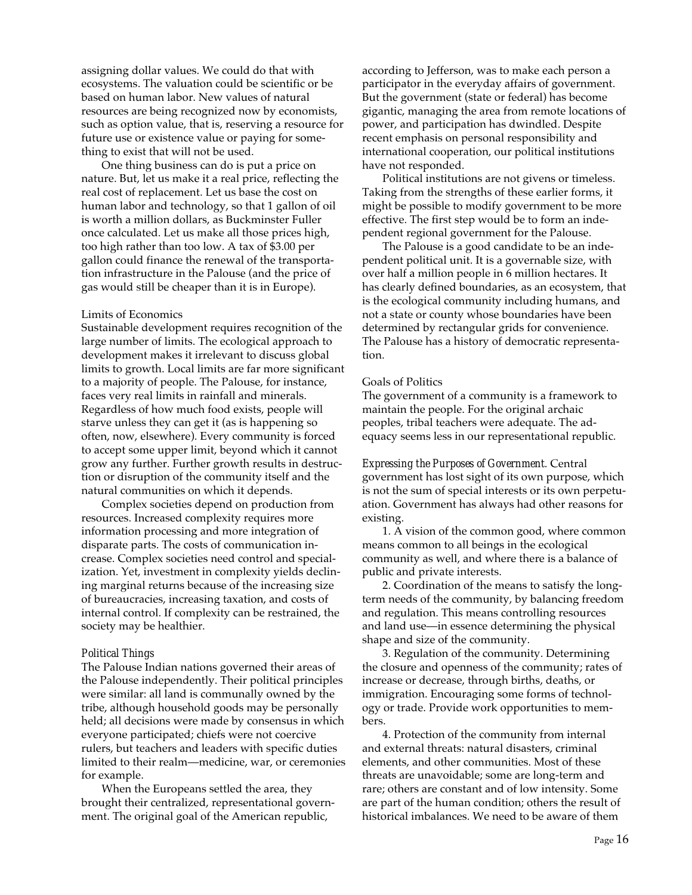assigning dollar values. We could do that with ecosystems. The valuation could be scientific or be based on human labor. New values of natural resources are being recognized now by economists, such as option value, that is, reserving a resource for future use or existence value or paying for something to exist that will not be used.

One thing business can do is put a price on nature. But, let us make it a real price, reflecting the real cost of replacement. Let us base the cost on human labor and technology, so that 1 gallon of oil is worth a million dollars, as Buckminster Fuller once calculated. Let us make all those prices high, too high rather than too low. A tax of \$3.00 per gallon could finance the renewal of the transportation infrastructure in the Palouse (and the price of gas would still be cheaper than it is in Europe).

#### Limits of Economics

Sustainable development requires recognition of the large number of limits. The ecological approach to development makes it irrelevant to discuss global limits to growth. Local limits are far more significant to a majority of people. The Palouse, for instance, faces very real limits in rainfall and minerals. Regardless of how much food exists, people will starve unless they can get it (as is happening so often, now, elsewhere). Every community is forced to accept some upper limit, beyond which it cannot grow any further. Further growth results in destruction or disruption of the community itself and the natural communities on which it depends.

Complex societies depend on production from resources. Increased complexity requires more information processing and more integration of disparate parts. The costs of communication increase. Complex societies need control and specialization. Yet, investment in complexity yields declining marginal returns because of the increasing size of bureaucracies, increasing taxation, and costs of internal control. If complexity can be restrained, the society may be healthier.

#### *Political Things*

The Palouse Indian nations governed their areas of the Palouse independently. Their political principles were similar: all land is communally owned by the tribe, although household goods may be personally held; all decisions were made by consensus in which everyone participated; chiefs were not coercive rulers, but teachers and leaders with specific duties limited to their realm—medicine, war, or ceremonies for example.

When the Europeans settled the area, they brought their centralized, representational government. The original goal of the American republic,

according to Jefferson, was to make each person a participator in the everyday affairs of government. But the government (state or federal) has become gigantic, managing the area from remote locations of power, and participation has dwindled. Despite recent emphasis on personal responsibility and international cooperation, our political institutions have not responded.

Political institutions are not givens or timeless. Taking from the strengths of these earlier forms, it might be possible to modify government to be more effective. The first step would be to form an independent regional government for the Palouse.

The Palouse is a good candidate to be an independent political unit. It is a governable size, with over half a million people in 6 million hectares. It has clearly defined boundaries, as an ecosystem, that is the ecological community including humans, and not a state or county whose boundaries have been determined by rectangular grids for convenience. The Palouse has a history of democratic representation.

#### Goals of Politics

The government of a community is a framework to maintain the people. For the original archaic peoples, tribal teachers were adequate. The adequacy seems less in our representational republic.

*Expressing the Purposes of Government*. Central government has lost sight of its own purpose, which is not the sum of special interests or its own perpetuation. Government has always had other reasons for existing.

1. A vision of the common good, where common means common to all beings in the ecological community as well, and where there is a balance of public and private interests.

2. Coordination of the means to satisfy the longterm needs of the community, by balancing freedom and regulation. This means controlling resources and land use—in essence determining the physical shape and size of the community.

3. Regulation of the community. Determining the closure and openness of the community; rates of increase or decrease, through births, deaths, or immigration. Encouraging some forms of technology or trade. Provide work opportunities to members.

4. Protection of the community from internal and external threats: natural disasters, criminal elements, and other communities. Most of these threats are unavoidable; some are long-term and rare; others are constant and of low intensity. Some are part of the human condition; others the result of historical imbalances. We need to be aware of them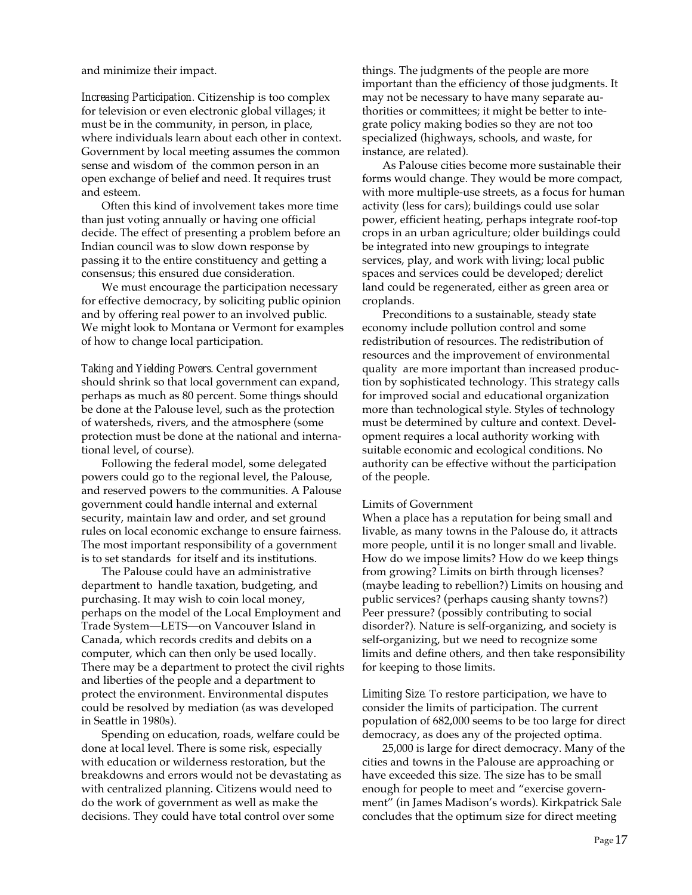and minimize their impact.

*Increasing Participation*. Citizenship is too complex for television or even electronic global villages; it must be in the community, in person, in place, where individuals learn about each other in context. Government by local meeting assumes the common sense and wisdom of the common person in an open exchange of belief and need. It requires trust and esteem.

Often this kind of involvement takes more time than just voting annually or having one official decide. The effect of presenting a problem before an Indian council was to slow down response by passing it to the entire constituency and getting a consensus; this ensured due consideration.

We must encourage the participation necessary for effective democracy, by soliciting public opinion and by offering real power to an involved public. We might look to Montana or Vermont for examples of how to change local participation.

*Taking and Yielding Powers*. Central government should shrink so that local government can expand, perhaps as much as 80 percent. Some things should be done at the Palouse level, such as the protection of watersheds, rivers, and the atmosphere (some protection must be done at the national and international level, of course).

Following the federal model, some delegated powers could go to the regional level, the Palouse, and reserved powers to the communities. A Palouse government could handle internal and external security, maintain law and order, and set ground rules on local economic exchange to ensure fairness. The most important responsibility of a government is to set standards for itself and its institutions.

The Palouse could have an administrative department to handle taxation, budgeting, and purchasing. It may wish to coin local money, perhaps on the model of the Local Employment and Trade System—LETS—on Vancouver Island in Canada, which records credits and debits on a computer, which can then only be used locally. There may be a department to protect the civil rights and liberties of the people and a department to protect the environment. Environmental disputes could be resolved by mediation (as was developed in Seattle in 1980s).

Spending on education, roads, welfare could be done at local level. There is some risk, especially with education or wilderness restoration, but the breakdowns and errors would not be devastating as with centralized planning. Citizens would need to do the work of government as well as make the decisions. They could have total control over some

things. The judgments of the people are more important than the efficiency of those judgments. It may not be necessary to have many separate authorities or committees; it might be better to integrate policy making bodies so they are not too specialized (highways, schools, and waste, for instance, are related).

As Palouse cities become more sustainable their forms would change. They would be more compact, with more multiple-use streets, as a focus for human activity (less for cars); buildings could use solar power, efficient heating, perhaps integrate roof-top crops in an urban agriculture; older buildings could be integrated into new groupings to integrate services, play, and work with living; local public spaces and services could be developed; derelict land could be regenerated, either as green area or croplands.

Preconditions to a sustainable, steady state economy include pollution control and some redistribution of resources. The redistribution of resources and the improvement of environmental quality are more important than increased production by sophisticated technology. This strategy calls for improved social and educational organization more than technological style. Styles of technology must be determined by culture and context. Development requires a local authority working with suitable economic and ecological conditions. No authority can be effective without the participation of the people.

#### Limits of Government

When a place has a reputation for being small and livable, as many towns in the Palouse do, it attracts more people, until it is no longer small and livable. How do we impose limits? How do we keep things from growing? Limits on birth through licenses? (maybe leading to rebellion?) Limits on housing and public services? (perhaps causing shanty towns?) Peer pressure? (possibly contributing to social disorder?). Nature is self-organizing, and society is self-organizing, but we need to recognize some limits and define others, and then take responsibility for keeping to those limits.

*Limiting Size*. To restore participation, we have to consider the limits of participation. The current population of 682,000 seems to be too large for direct democracy, as does any of the projected optima.

25,000 is large for direct democracy. Many of the cities and towns in the Palouse are approaching or have exceeded this size. The size has to be small enough for people to meet and "exercise government" (in James Madison's words). Kirkpatrick Sale concludes that the optimum size for direct meeting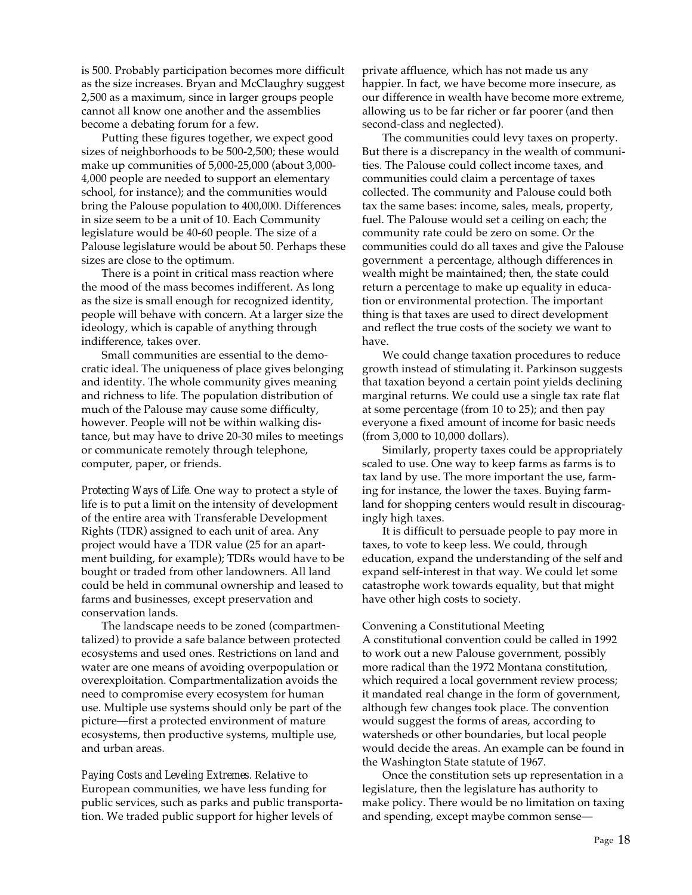is 500. Probably participation becomes more difficult as the size increases. Bryan and McClaughry suggest 2,500 as a maximum, since in larger groups people cannot all know one another and the assemblies become a debating forum for a few.

Putting these figures together, we expect good sizes of neighborhoods to be 500-2,500; these would make up communities of 5,000-25,000 (about 3,000- 4,000 people are needed to support an elementary school, for instance); and the communities would bring the Palouse population to 400,000. Differences in size seem to be a unit of 10. Each Community legislature would be 40-60 people. The size of a Palouse legislature would be about 50. Perhaps these sizes are close to the optimum.

There is a point in critical mass reaction where the mood of the mass becomes indifferent. As long as the size is small enough for recognized identity, people will behave with concern. At a larger size the ideology, which is capable of anything through indifference, takes over.

Small communities are essential to the democratic ideal. The uniqueness of place gives belonging and identity. The whole community gives meaning and richness to life. The population distribution of much of the Palouse may cause some difficulty, however. People will not be within walking distance, but may have to drive 20-30 miles to meetings or communicate remotely through telephone, computer, paper, or friends.

*Protecting Ways of Life*. One way to protect a style of life is to put a limit on the intensity of development of the entire area with Transferable Development Rights (TDR) assigned to each unit of area. Any project would have a TDR value (25 for an apartment building, for example); TDRs would have to be bought or traded from other landowners. All land could be held in communal ownership and leased to farms and businesses, except preservation and conservation lands.

The landscape needs to be zoned (compartmentalized) to provide a safe balance between protected ecosystems and used ones. Restrictions on land and water are one means of avoiding overpopulation or overexploitation. Compartmentalization avoids the need to compromise every ecosystem for human use. Multiple use systems should only be part of the picture—first a protected environment of mature ecosystems, then productive systems, multiple use, and urban areas.

*Paying Costs and Leveling Extremes*. Relative to European communities, we have less funding for public services, such as parks and public transportation. We traded public support for higher levels of

private affluence, which has not made us any happier. In fact, we have become more insecure, as our difference in wealth have become more extreme, allowing us to be far richer or far poorer (and then second-class and neglected).

The communities could levy taxes on property. But there is a discrepancy in the wealth of communities. The Palouse could collect income taxes, and communities could claim a percentage of taxes collected. The community and Palouse could both tax the same bases: income, sales, meals, property, fuel. The Palouse would set a ceiling on each; the community rate could be zero on some. Or the communities could do all taxes and give the Palouse government a percentage, although differences in wealth might be maintained; then, the state could return a percentage to make up equality in education or environmental protection. The important thing is that taxes are used to direct development and reflect the true costs of the society we want to have.

We could change taxation procedures to reduce growth instead of stimulating it. Parkinson suggests that taxation beyond a certain point yields declining marginal returns. We could use a single tax rate flat at some percentage (from 10 to 25); and then pay everyone a fixed amount of income for basic needs (from 3,000 to 10,000 dollars).

Similarly, property taxes could be appropriately scaled to use. One way to keep farms as farms is to tax land by use. The more important the use, farming for instance, the lower the taxes. Buying farmland for shopping centers would result in discouragingly high taxes.

It is difficult to persuade people to pay more in taxes, to vote to keep less. We could, through education, expand the understanding of the self and expand self-interest in that way. We could let some catastrophe work towards equality, but that might have other high costs to society.

Convening a Constitutional Meeting A constitutional convention could be called in 1992 to work out a new Palouse government, possibly more radical than the 1972 Montana constitution, which required a local government review process; it mandated real change in the form of government, although few changes took place. The convention would suggest the forms of areas, according to watersheds or other boundaries, but local people would decide the areas. An example can be found in the Washington State statute of 1967.

Once the constitution sets up representation in a legislature, then the legislature has authority to make policy. There would be no limitation on taxing and spending, except maybe common sense—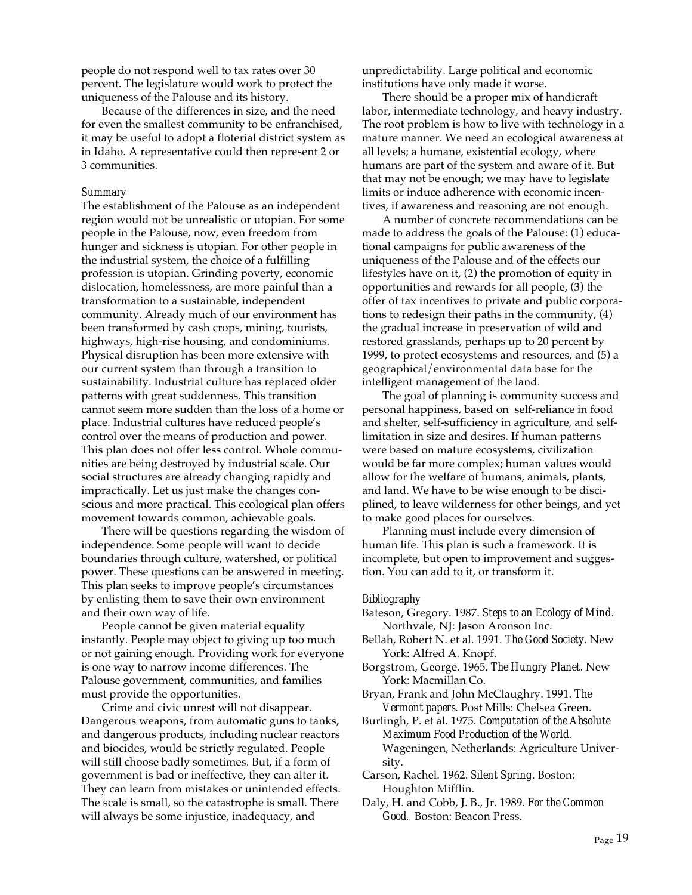people do not respond well to tax rates over 30 percent. The legislature would work to protect the uniqueness of the Palouse and its history.

Because of the differences in size, and the need for even the smallest community to be enfranchised, it may be useful to adopt a floterial district system as in Idaho. A representative could then represent 2 or 3 communities.

#### *Summary*

The establishment of the Palouse as an independent region would not be unrealistic or utopian. For some people in the Palouse, now, even freedom from hunger and sickness is utopian. For other people in the industrial system, the choice of a fulfilling profession is utopian. Grinding poverty, economic dislocation, homelessness, are more painful than a transformation to a sustainable, independent community. Already much of our environment has been transformed by cash crops, mining, tourists, highways, high-rise housing, and condominiums. Physical disruption has been more extensive with our current system than through a transition to sustainability. Industrial culture has replaced older patterns with great suddenness. This transition cannot seem more sudden than the loss of a home or place. Industrial cultures have reduced people's control over the means of production and power. This plan does not offer less control. Whole communities are being destroyed by industrial scale. Our social structures are already changing rapidly and impractically. Let us just make the changes conscious and more practical. This ecological plan offers movement towards common, achievable goals.

There will be questions regarding the wisdom of independence. Some people will want to decide boundaries through culture, watershed, or political power. These questions can be answered in meeting. This plan seeks to improve people's circumstances by enlisting them to save their own environment and their own way of life.

People cannot be given material equality instantly. People may object to giving up too much or not gaining enough. Providing work for everyone is one way to narrow income differences. The Palouse government, communities, and families must provide the opportunities.

Crime and civic unrest will not disappear. Dangerous weapons, from automatic guns to tanks, and dangerous products, including nuclear reactors and biocides, would be strictly regulated. People will still choose badly sometimes. But, if a form of government is bad or ineffective, they can alter it. They can learn from mistakes or unintended effects. The scale is small, so the catastrophe is small. There will always be some injustice, inadequacy, and

unpredictability. Large political and economic institutions have only made it worse.

There should be a proper mix of handicraft labor, intermediate technology, and heavy industry. The root problem is how to live with technology in a mature manner. We need an ecological awareness at all levels; a humane, existential ecology, where humans are part of the system and aware of it. But that may not be enough; we may have to legislate limits or induce adherence with economic incentives, if awareness and reasoning are not enough.

A number of concrete recommendations can be made to address the goals of the Palouse: (1) educational campaigns for public awareness of the uniqueness of the Palouse and of the effects our lifestyles have on it, (2) the promotion of equity in opportunities and rewards for all people, (3) the offer of tax incentives to private and public corporations to redesign their paths in the community, (4) the gradual increase in preservation of wild and restored grasslands, perhaps up to 20 percent by 1999, to protect ecosystems and resources, and (5) a geographical/environmental data base for the intelligent management of the land.

The goal of planning is community success and personal happiness, based on self-reliance in food and shelter, self-sufficiency in agriculture, and selflimitation in size and desires. If human patterns were based on mature ecosystems, civilization would be far more complex; human values would allow for the welfare of humans, animals, plants, and land. We have to be wise enough to be disciplined, to leave wilderness for other beings, and yet to make good places for ourselves.

Planning must include every dimension of human life. This plan is such a framework. It is incomplete, but open to improvement and suggestion. You can add to it, or transform it.

#### *Bibliography*

- Bateson, Gregory. 1987. *Steps to an Ecology of Mind*. Northvale, NJ: Jason Aronson Inc.
- Bellah, Robert N. et al. 1991. *The Good Society*. New York: Alfred A. Knopf.
- Borgstrom, George. 1965. *The Hungry Planet*. New York: Macmillan Co.
- Bryan, Frank and John McClaughry. 1991. *The Vermont papers*. Post Mills: Chelsea Green.
- Burlingh, P. et al. 1975. *Computation of the Absolute Maximum Food Production of the World*. Wageningen, Netherlands: Agriculture University.
- Carson, Rachel. 1962. *Silent Spring*. Boston: Houghton Mifflin.
- Daly, H. and Cobb, J. B., Jr. 1989. *For the Common Good*. Boston: Beacon Press.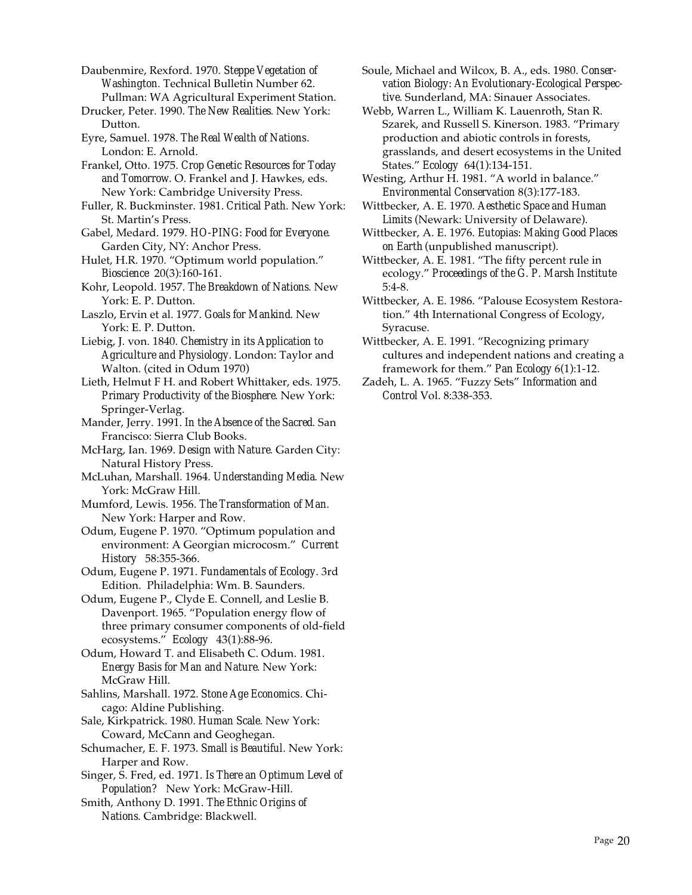Daubenmire, Rexford. 1970. *Steppe Vegetation of Washington*. Technical Bulletin Number 62. Pullman: WA Agricultural Experiment Station.

Drucker, Peter. 1990. *The New Realities*. New York: Dutton.

Eyre, Samuel. 1978. *The Real Wealth of Nations*. London: E. Arnold.

Frankel, Otto. 1975. *Crop Genetic Resources for Today and Tomorrow*. O. Frankel and J. Hawkes, eds. New York: Cambridge University Press.

Fuller, R. Buckminster. 1981. *Critical Path*. New York: St. Martin's Press.

Gabel, Medard. 1979. *HO-PING: Food for Everyone*. Garden City, NY: Anchor Press.

Hulet, H.R. 1970. "Optimum world population." *Bioscience* 20(3):160-161.

Kohr, Leopold. 1957. *The Breakdown of Nations*. New York: E. P. Dutton.

Laszlo, Ervin et al. 1977. *Goals for Mankind*. New York: E. P. Dutton.

Liebig, J. von. 1840. *Chemistry in its Application to Agriculture and Physiology*. London: Taylor and Walton. (cited in Odum 1970)

Lieth, Helmut F H. and Robert Whittaker, eds. 1975. *Primary Productivity of the Biosphere*. New York: Springer-Verlag.

Mander, Jerry. 1991. *In the Absence of the Sacred*. San Francisco: Sierra Club Books.

McHarg, Ian. 1969. *Design with Nature*. Garden City: Natural History Press.

McLuhan, Marshall. 1964. *Understanding Media*. New York: McGraw Hill.

Mumford, Lewis. 1956. *The Transformation of Man*. New York: Harper and Row.

Odum, Eugene P. 1970. "Optimum population and environment: A Georgian microcosm." *Current History* 58:355-366.

Odum, Eugene P. 1971. *Fundamentals of Ecology*. 3rd Edition. Philadelphia: Wm. B. Saunders.

Odum, Eugene P., Clyde E. Connell, and Leslie B. Davenport. 1965. "Population energy flow of three primary consumer components of old-field ecosystems." *Ecology* 43(1):88-96.

Odum, Howard T. and Elisabeth C. Odum. 1981. *Energy Basis for Man and Nature*. New York: McGraw Hill.

Sahlins, Marshall. 1972. *Stone Age Economics*. Chicago: Aldine Publishing.

Sale, Kirkpatrick. 1980. *Human Scale*. New York: Coward, McCann and Geoghegan.

Schumacher, E. F. 1973. *Small is Beautiful*. New York: Harper and Row.

Singer, S. Fred, ed. 1971. *Is There an Optimum Level of Population?* New York: McGraw-Hill.

Smith, Anthony D. 1991. *The Ethnic Origins of Nations*. Cambridge: Blackwell.

Soule, Michael and Wilcox, B. A., eds. 1980. *Conservation Biology: An Evolutionary-Ecological Perspective*. Sunderland, MA: Sinauer Associates.

Webb, Warren L., William K. Lauenroth, Stan R. Szarek, and Russell S. Kinerson. 1983. "Primary production and abiotic controls in forests, grasslands, and desert ecosystems in the United States." *Ecology* 64(1):134-151.

Westing, Arthur H. 1981. "A world in balance." *Environmental Conservation* 8(3):177-183.

Wittbecker, A. E. 1970. *Aesthetic Space and Human Limits* (Newark: University of Delaware).

Wittbecker, A. E. 1976. *Eutopias: Making Good Places on Earth* (unpublished manuscript).

Wittbecker, A. E. 1981. "The fifty percent rule in ecology." *Proceedings of the G. P. Marsh Institute* 5:4-8.

Wittbecker, A. E. 1986. "Palouse Ecosystem Restoration." 4th International Congress of Ecology, Syracuse.

Wittbecker, A. E. 1991. "Recognizing primary cultures and independent nations and creating a framework for them." *Pan Ecology* 6(1):1-12.

Zadeh, L. A. 1965. "Fuzzy Sets" *Information and Control* Vol. 8:338-353.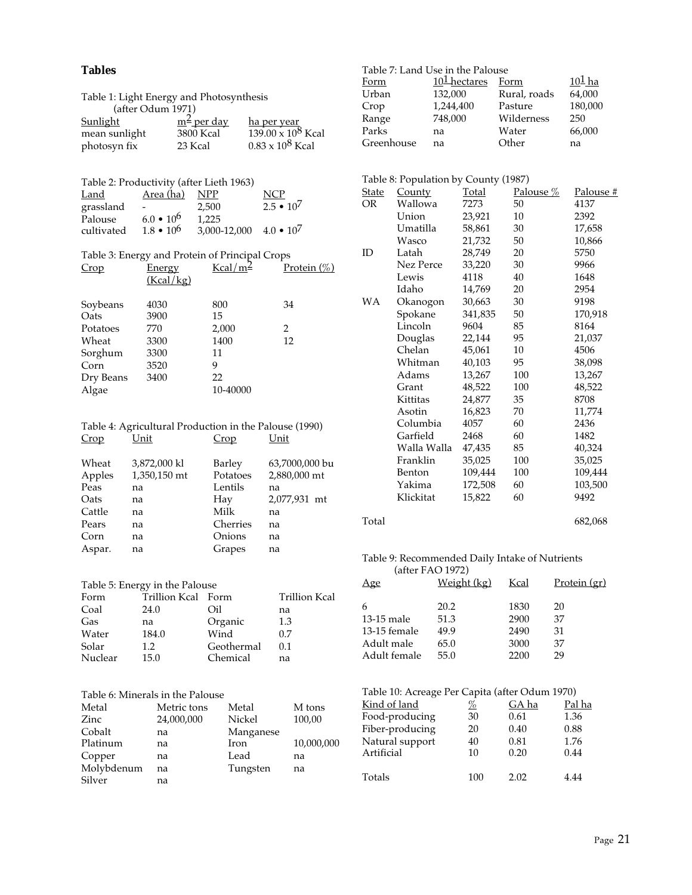# **Tables**

| Table 1: Light Energy and Photosynthesis |                        |                           |  |  |  |
|------------------------------------------|------------------------|---------------------------|--|--|--|
| (after Odum 1971)                        |                        |                           |  |  |  |
| Sunlight                                 | m <sup>2</sup> per day | <u>ha per year</u>        |  |  |  |
| mean sunlight                            | 3800 Kcal              | $139.00 \times 10^8$ Kcal |  |  |  |
| photosyn fix                             | 23 Kcal                | $0.83 \times 10^8$ Kcal   |  |  |  |

| Table 2: Productivity (after Lieth 1963) |                  |                               |                  |  |  |
|------------------------------------------|------------------|-------------------------------|------------------|--|--|
| Land                                     | <u>Area (ha)</u> | NPP                           | NCP              |  |  |
| grassland                                | $\sim$           | 2.500                         | $2.5 \cdot 10^7$ |  |  |
| Palouse                                  | $6.0 \cdot 10^6$ | 1.225                         |                  |  |  |
| cultivated                               | $1.8 \cdot 10^6$ | 3,000-12,000 $4.0 \cdot 10^7$ |                  |  |  |

| Table 3: Energy and Protein of Principal Crops |               |                     |                 |  |
|------------------------------------------------|---------------|---------------------|-----------------|--|
| Crop                                           | <u>Energy</u> | Kcal/m <sup>2</sup> | Protein $(\% )$ |  |
|                                                | (Kcal/kg)     |                     |                 |  |
|                                                |               |                     |                 |  |
| Soybeans                                       | 4030          | 800                 | 34              |  |
| Oats                                           | 3900          | 15                  |                 |  |
| Potatoes                                       | 770           | 2,000               | 2               |  |
| Wheat                                          | 3300          | 1400                | 12              |  |
| Sorghum                                        | 3300          | 11                  |                 |  |
| Corn                                           | 3520          | 9                   |                 |  |
| Dry Beans                                      | 3400          | 22                  |                 |  |
| Algae                                          |               | 10-40000            |                 |  |

#### Table 4: Agricultural Production in the Palouse (1990) Crop Unit Crop Unit

| Wheat<br>Apples<br>Peas<br>Oats<br>Cattle<br>Pears<br>Corn | 3,872,000 kl<br>1,350,150 mt<br>na<br>na<br>na<br>na<br>na | Barley<br>Potatoes<br>Lentils<br>Hay<br>Milk<br>Cherries<br>Onions | 63,7000,000 bu<br>2,880,000 mt<br>na<br>2,077,931 mt<br>na<br>na<br>na |
|------------------------------------------------------------|------------------------------------------------------------|--------------------------------------------------------------------|------------------------------------------------------------------------|
| Aspar.                                                     | na                                                         | Grapes                                                             | na                                                                     |
|                                                            |                                                            |                                                                    |                                                                        |

|         | Table 5: Energy in the Palouse |            |               |
|---------|--------------------------------|------------|---------------|
| Form    | Trillion Kcal Form             |            | Trillion Kcal |
| Coal    | 24.0                           | Oil        | na            |
| Gas     | na                             | Organic    | 1.3           |
| Water   | 184.0                          | Wind       | 0.7           |
| Solar   | 1.2                            | Geothermal | 0.1           |
| Nuclear | 15.0                           | Chemical   | na            |

| Table 6: Minerals in the Palouse |             |           |            |  |
|----------------------------------|-------------|-----------|------------|--|
| Metal                            | Metric tons | Metal     | M tons     |  |
| Zinc                             | 24,000,000  | Nickel    | 100,00     |  |
| Cobalt                           | na          | Manganese |            |  |
| Platinum                         | na          | Iron      | 10,000,000 |  |
| Copper                           | na          | Lead      | na         |  |
| Molybdenum                       | na          | Tungsten  | na         |  |
| Silver                           | na          |           |            |  |

| Table 7: Land Use in the Palouse |                          |              |          |  |  |
|----------------------------------|--------------------------|--------------|----------|--|--|
| Form                             | 10 <sup>1</sup> hectares | Form         | $101$ ha |  |  |
| Urban                            | 132,000                  | Rural, roads | 64,000   |  |  |
| Crop                             | 1,244,400                | Pasture      | 180,000  |  |  |
| Range                            | 748,000                  | Wilderness   | 250      |  |  |
| Parks                            | na                       | Water        | 66,000   |  |  |
| Greenhouse                       | na                       | Other        | na       |  |  |
|                                  |                          |              |          |  |  |

|       | Table 8: Population by County (1987) |         |           |           |
|-------|--------------------------------------|---------|-----------|-----------|
| State | County                               | Total   | Palouse % | Palouse # |
| OR    | Wallowa                              | 7273    | 50        | 4137      |
|       | Union                                | 23,921  | 10        | 2392      |
|       | Umatilla                             | 58,861  | 30        | 17,658    |
|       | Wasco                                | 21,732  | 50        | 10,866    |
| ID    | Latah                                | 28,749  | 20        | 5750      |
|       | <b>Nez Perce</b>                     | 33,220  | 30        | 9966      |
|       | Lewis                                | 4118    | 40        | 1648      |
|       | Idaho                                | 14,769  | 20        | 2954      |
| WА    | Okanogon                             | 30,663  | 30        | 9198      |
|       | Spokane                              | 341,835 | 50        | 170,918   |
|       | Lincoln                              | 9604    | 85        | 8164      |
|       | Douglas                              | 22,144  | 95        | 21.037    |
|       | Chelan                               | 45,061  | 10        | 4506      |
|       | Whitman                              | 40,103  | 95        | 38,098    |
|       | Adams                                | 13,267  | 100       | 13,267    |
|       | Grant                                | 48,522  | 100       | 48,522    |
|       | <b>Kittitas</b>                      | 24,877  | 35        | 8708      |
|       | Asotin                               | 16,823  | 70        | 11,774    |
|       | Columbia                             | 4057    | 60        | 2436      |
|       | Garfield                             | 2468    | 60        | 1482      |
|       | Walla Walla                          | 47,435  | 85        | 40,324    |
|       | Franklin                             | 35,025  | 100       | 35,025    |
|       | Benton                               | 109,444 | 100       | 109,444   |
|       | Yakima                               | 172,508 | 60        | 103,500   |
|       | Klickitat                            | 15,822  | 60        | 9492      |
| Total |                                      |         |           | 682,068   |

#### Table 9: Recommended Daily Intake of Nutrients (after FAO 1972)

| Age          | Weight (kg) | Kcal | <u>Protein (gr)</u> |
|--------------|-------------|------|---------------------|
| 6            | 20.2        | 1830 | 20                  |
| 13-15 male   | 51.3        | 2900 | 37                  |
| 13-15 female | 49.9        | 2490 | 31                  |
| Adult male   | 65.0        | 3000 | 37                  |
| Adult female | 55.0        | 2200 | 29                  |
|              |             |      |                     |

| Table 10: Acreage Per Capita (after Odum 1970) |     |       |        |  |
|------------------------------------------------|-----|-------|--------|--|
| Kind of land                                   | %   | GA ha | Pal ha |  |
| Food-producing                                 | 30  | 0.61  | 1.36   |  |
| Fiber-producing                                | 20  | 0.40  | 0.88   |  |
| Natural support                                | 40  | 0.81  | 1.76   |  |
| Artificial                                     | 10  | 0.20  | 0.44   |  |
|                                                |     |       |        |  |
| Totals                                         | 100 | 2.02  | 4 44   |  |